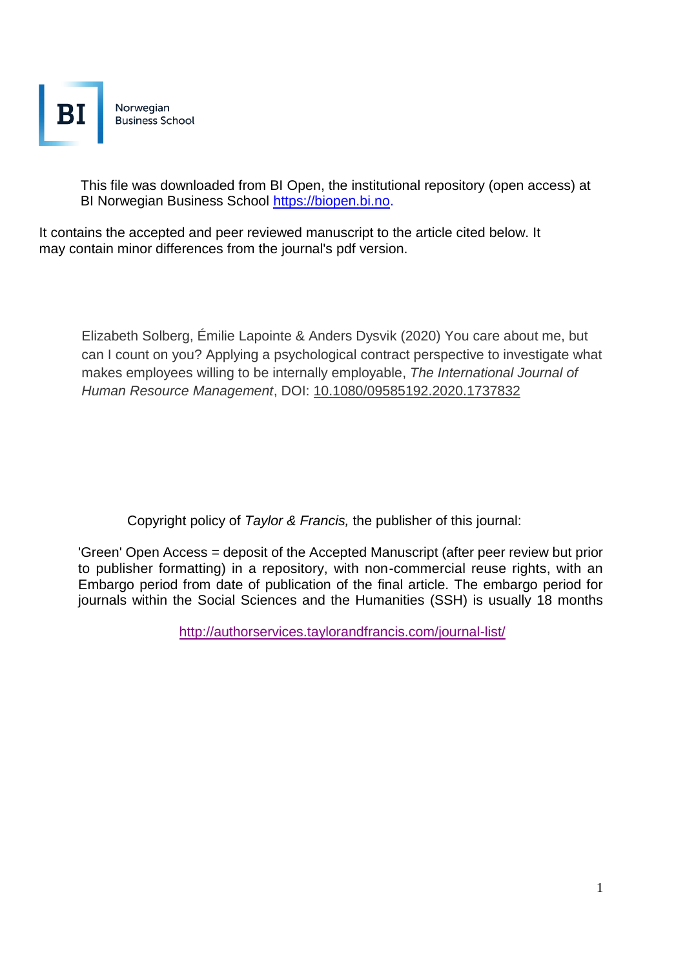

This file was downloaded from BI Open, the institutional repository (open access) at BI Norwegian Business School https://biopen.bi.no.

It contains the accepted and peer reviewed manuscript to the article cited below. It may contain minor differences from the journal's pdf version.

Elizabeth Solberg, Émilie Lapointe & Anders Dysvik (2020) You care about me, but can I count on you? Applying a psychological contract perspective to investigate what makes employees willing to be internally employable, *The International Journal of Human Resource Management*, DOI: [10.1080/09585192.2020.1737832](https://doi.org/10.1080/09585192.2020.1737832)

Copyright policy of *Taylor & Francis,* the publisher of this journal:

'Green' Open Access = deposit of the Accepted Manuscript (after peer review but prior to publisher formatting) in a repository, with non-commercial reuse rights, with an Embargo period from date of publication of the final article. The embargo period for journals within the Social Sciences and the Humanities (SSH) is usually 18 months

<http://authorservices.taylorandfrancis.com/journal-list/>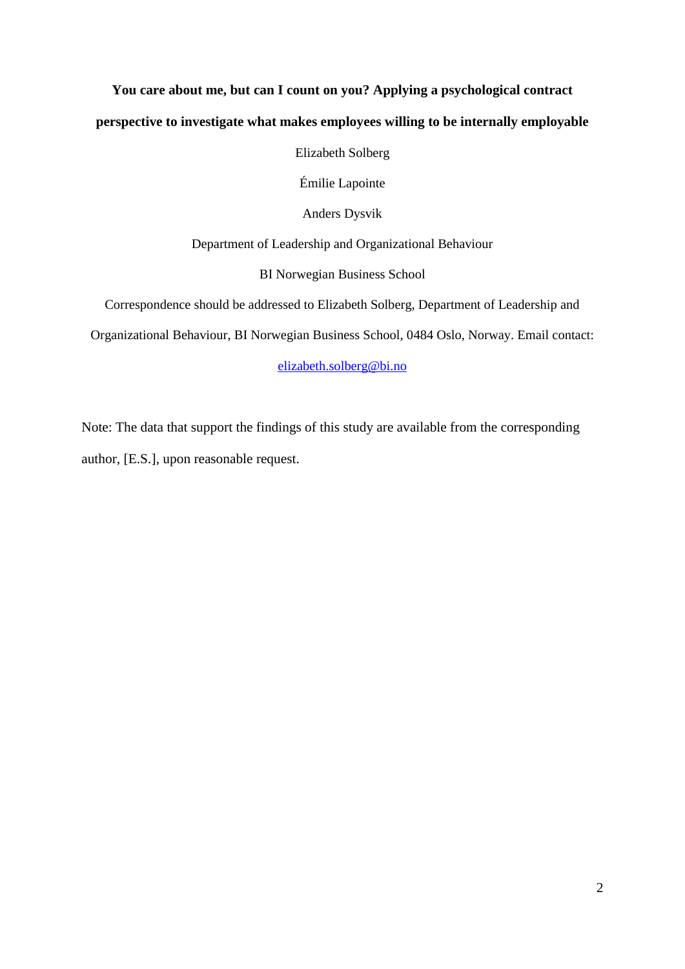# **You care about me, but can I count on you? Applying a psychological contract perspective to investigate what makes employees willing to be internally employable**

Elizabeth Solberg

Émilie Lapointe

Anders Dysvik

Department of Leadership and Organizational Behaviour

BI Norwegian Business School

Correspondence should be addressed to Elizabeth Solberg, Department of Leadership and

Organizational Behaviour, BI Norwegian Business School, 0484 Oslo, Norway. Email contact:

[elizabeth.solberg@bi.no](mailto:elizabeth.solberg@bi.no)

Note: The data that support the findings of this study are available from the corresponding author, [E.S.], upon reasonable request.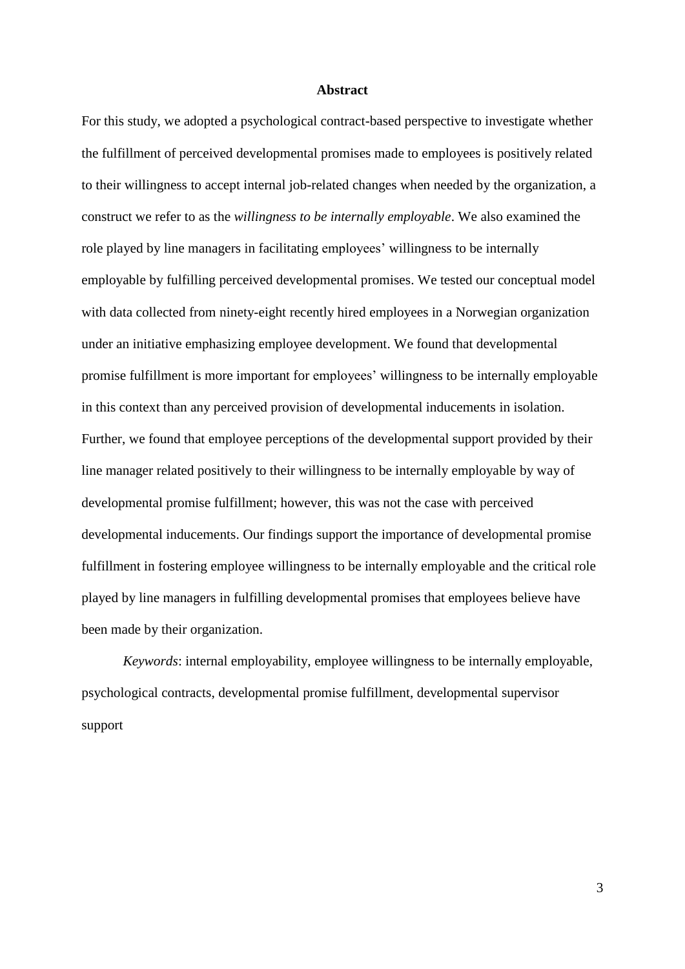#### **Abstract**

For this study, we adopted a psychological contract-based perspective to investigate whether the fulfillment of perceived developmental promises made to employees is positively related to their willingness to accept internal job-related changes when needed by the organization, a construct we refer to as the *willingness to be internally employable*. We also examined the role played by line managers in facilitating employees' willingness to be internally employable by fulfilling perceived developmental promises. We tested our conceptual model with data collected from ninety-eight recently hired employees in a Norwegian organization under an initiative emphasizing employee development. We found that developmental promise fulfillment is more important for employees' willingness to be internally employable in this context than any perceived provision of developmental inducements in isolation. Further, we found that employee perceptions of the developmental support provided by their line manager related positively to their willingness to be internally employable by way of developmental promise fulfillment; however, this was not the case with perceived developmental inducements. Our findings support the importance of developmental promise fulfillment in fostering employee willingness to be internally employable and the critical role played by line managers in fulfilling developmental promises that employees believe have been made by their organization.

*Keywords*: internal employability, employee willingness to be internally employable, psychological contracts, developmental promise fulfillment, developmental supervisor support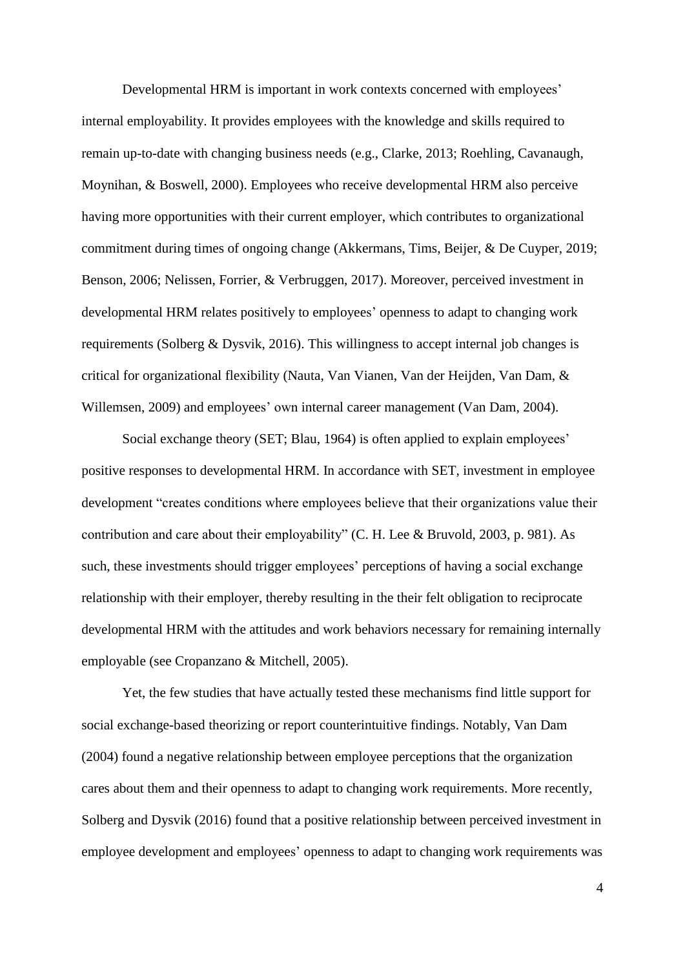Developmental HRM is important in work contexts concerned with employees' internal employability. It provides employees with the knowledge and skills required to remain up-to-date with changing business needs (e.g., Clarke, 2013; Roehling, Cavanaugh, Moynihan, & Boswell, 2000). Employees who receive developmental HRM also perceive having more opportunities with their current employer, which contributes to organizational commitment during times of ongoing change (Akkermans, Tims, Beijer, & De Cuyper, 2019; Benson, 2006; Nelissen, Forrier, & Verbruggen, 2017). Moreover, perceived investment in developmental HRM relates positively to employees' openness to adapt to changing work requirements (Solberg & Dysvik, 2016). This willingness to accept internal job changes is critical for organizational flexibility (Nauta, Van Vianen, Van der Heijden, Van Dam, & Willemsen, 2009) and employees' own internal career management (Van Dam, 2004).

Social exchange theory (SET; Blau, 1964) is often applied to explain employees' positive responses to developmental HRM. In accordance with SET, investment in employee development "creates conditions where employees believe that their organizations value their contribution and care about their employability" (C. H. Lee & Bruvold, 2003, p. 981). As such, these investments should trigger employees' perceptions of having a social exchange relationship with their employer, thereby resulting in the their felt obligation to reciprocate developmental HRM with the attitudes and work behaviors necessary for remaining internally employable (see Cropanzano & Mitchell, 2005).

Yet, the few studies that have actually tested these mechanisms find little support for social exchange-based theorizing or report counterintuitive findings. Notably, Van Dam (2004) found a negative relationship between employee perceptions that the organization cares about them and their openness to adapt to changing work requirements. More recently, Solberg and Dysvik (2016) found that a positive relationship between perceived investment in employee development and employees' openness to adapt to changing work requirements was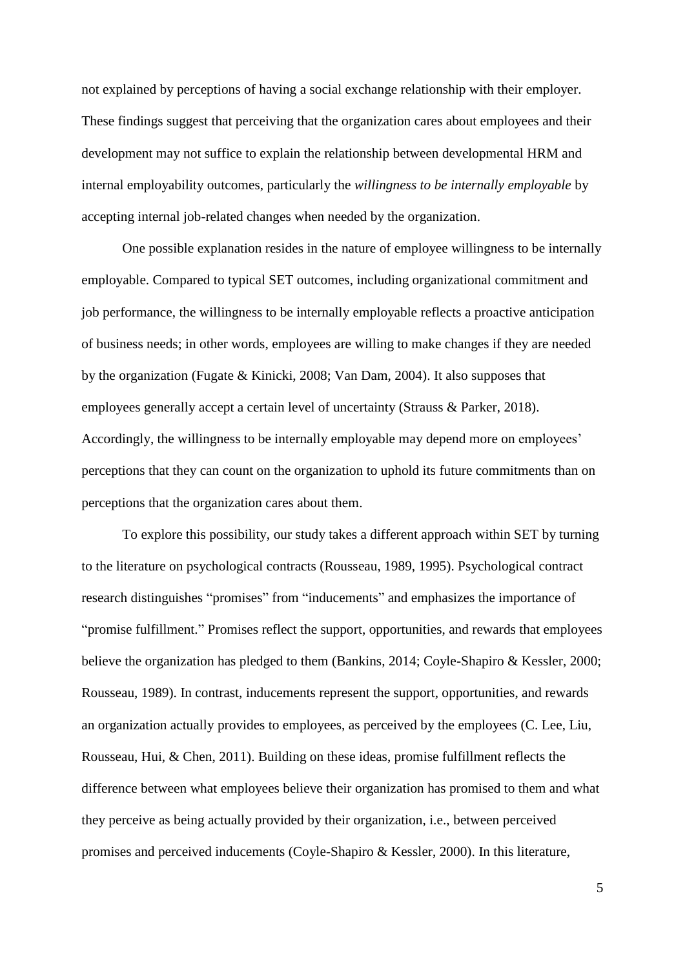not explained by perceptions of having a social exchange relationship with their employer. These findings suggest that perceiving that the organization cares about employees and their development may not suffice to explain the relationship between developmental HRM and internal employability outcomes, particularly the *willingness to be internally employable* by accepting internal job-related changes when needed by the organization.

One possible explanation resides in the nature of employee willingness to be internally employable. Compared to typical SET outcomes, including organizational commitment and job performance, the willingness to be internally employable reflects a proactive anticipation of business needs; in other words, employees are willing to make changes if they are needed by the organization (Fugate & Kinicki, 2008; Van Dam, 2004). It also supposes that employees generally accept a certain level of uncertainty (Strauss & Parker, 2018). Accordingly, the willingness to be internally employable may depend more on employees' perceptions that they can count on the organization to uphold its future commitments than on perceptions that the organization cares about them.

To explore this possibility, our study takes a different approach within SET by turning to the literature on psychological contracts (Rousseau, 1989, 1995). Psychological contract research distinguishes "promises" from "inducements" and emphasizes the importance of "promise fulfillment." Promises reflect the support, opportunities, and rewards that employees believe the organization has pledged to them (Bankins, 2014; Coyle-Shapiro & Kessler, 2000; Rousseau, 1989). In contrast, inducements represent the support, opportunities, and rewards an organization actually provides to employees, as perceived by the employees (C. Lee, Liu, Rousseau, Hui, & Chen, 2011). Building on these ideas, promise fulfillment reflects the difference between what employees believe their organization has promised to them and what they perceive as being actually provided by their organization, i.e., between perceived promises and perceived inducements (Coyle-Shapiro & Kessler, 2000). In this literature,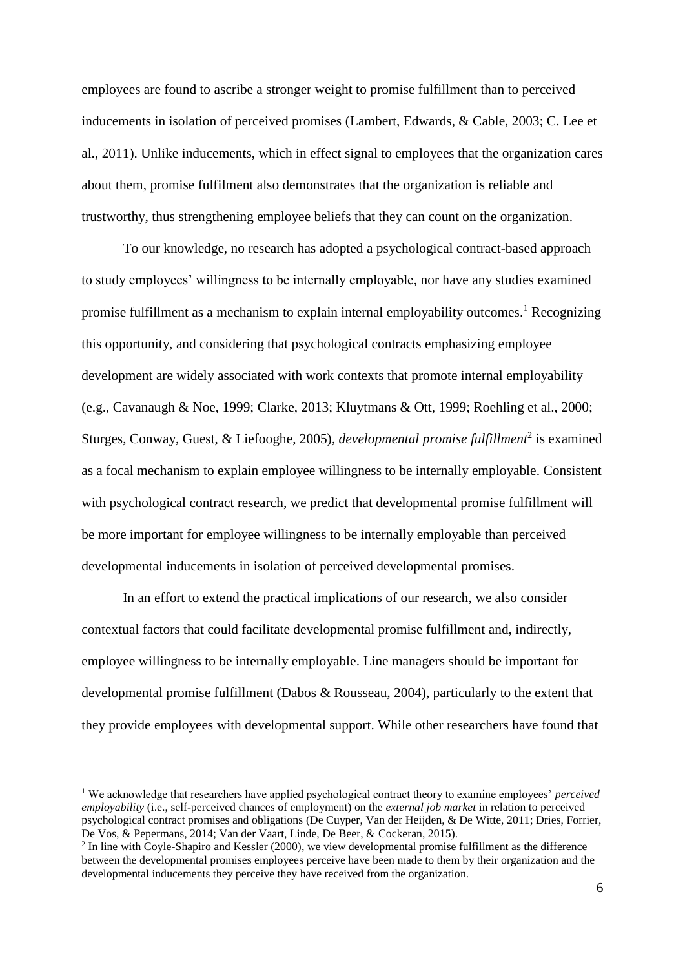employees are found to ascribe a stronger weight to promise fulfillment than to perceived inducements in isolation of perceived promises (Lambert, Edwards, & Cable, 2003; C. Lee et al., 2011). Unlike inducements, which in effect signal to employees that the organization cares about them, promise fulfilment also demonstrates that the organization is reliable and trustworthy, thus strengthening employee beliefs that they can count on the organization.

To our knowledge, no research has adopted a psychological contract-based approach to study employees' willingness to be internally employable, nor have any studies examined promise fulfillment as a mechanism to explain internal employability outcomes.<sup>1</sup> Recognizing this opportunity, and considering that psychological contracts emphasizing employee development are widely associated with work contexts that promote internal employability (e.g., Cavanaugh & Noe, 1999; Clarke, 2013; Kluytmans & Ott, 1999; Roehling et al., 2000; Sturges, Conway, Guest, & Liefooghe, 2005), *developmental promise fulfillment*<sup>2</sup> is examined as a focal mechanism to explain employee willingness to be internally employable. Consistent with psychological contract research, we predict that developmental promise fulfillment will be more important for employee willingness to be internally employable than perceived developmental inducements in isolation of perceived developmental promises.

In an effort to extend the practical implications of our research, we also consider contextual factors that could facilitate developmental promise fulfillment and, indirectly, employee willingness to be internally employable. Line managers should be important for developmental promise fulfillment (Dabos & Rousseau, 2004), particularly to the extent that they provide employees with developmental support. While other researchers have found that

 $\overline{a}$ 

<sup>1</sup> We acknowledge that researchers have applied psychological contract theory to examine employees' *perceived employability* (i.e., self-perceived chances of employment) on the *external job market* in relation to perceived psychological contract promises and obligations (De Cuyper, Van der Heijden, & De Witte, 2011; Dries, Forrier, De Vos, & Pepermans, 2014; Van der Vaart, Linde, De Beer, & Cockeran, 2015).

<sup>&</sup>lt;sup>2</sup> In line with Coyle-Shapiro and Kessler (2000), we view developmental promise fulfillment as the difference between the developmental promises employees perceive have been made to them by their organization and the developmental inducements they perceive they have received from the organization.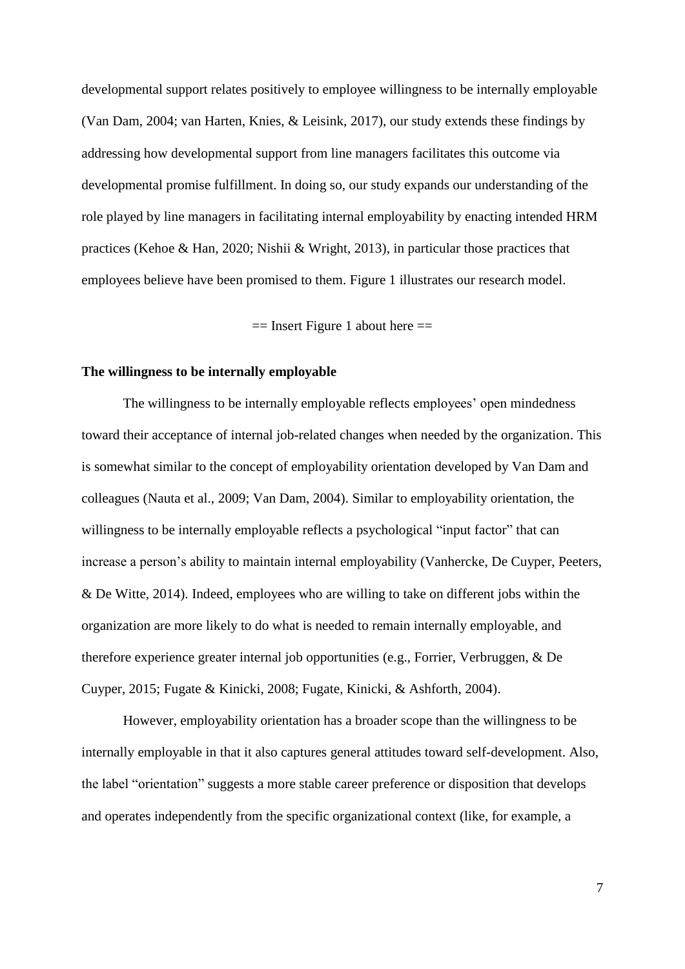developmental support relates positively to employee willingness to be internally employable (Van Dam, 2004; van Harten, Knies, & Leisink, 2017), our study extends these findings by addressing how developmental support from line managers facilitates this outcome via developmental promise fulfillment. In doing so, our study expands our understanding of the role played by line managers in facilitating internal employability by enacting intended HRM practices (Kehoe & Han, 2020; Nishii & Wright, 2013), in particular those practices that employees believe have been promised to them. Figure 1 illustrates our research model.

 $==$  Insert Figure 1 about here  $==$ 

### **The willingness to be internally employable**

The willingness to be internally employable reflects employees' open mindedness toward their acceptance of internal job-related changes when needed by the organization. This is somewhat similar to the concept of employability orientation developed by Van Dam and colleagues (Nauta et al., 2009; Van Dam, 2004). Similar to employability orientation, the willingness to be internally employable reflects a psychological "input factor" that can increase a person's ability to maintain internal employability (Vanhercke, De Cuyper, Peeters, & De Witte, 2014). Indeed, employees who are willing to take on different jobs within the organization are more likely to do what is needed to remain internally employable, and therefore experience greater internal job opportunities (e.g., Forrier, Verbruggen, & De Cuyper, 2015; Fugate & Kinicki, 2008; Fugate, Kinicki, & Ashforth, 2004).

However, employability orientation has a broader scope than the willingness to be internally employable in that it also captures general attitudes toward self-development. Also, the label "orientation" suggests a more stable career preference or disposition that develops and operates independently from the specific organizational context (like, for example, a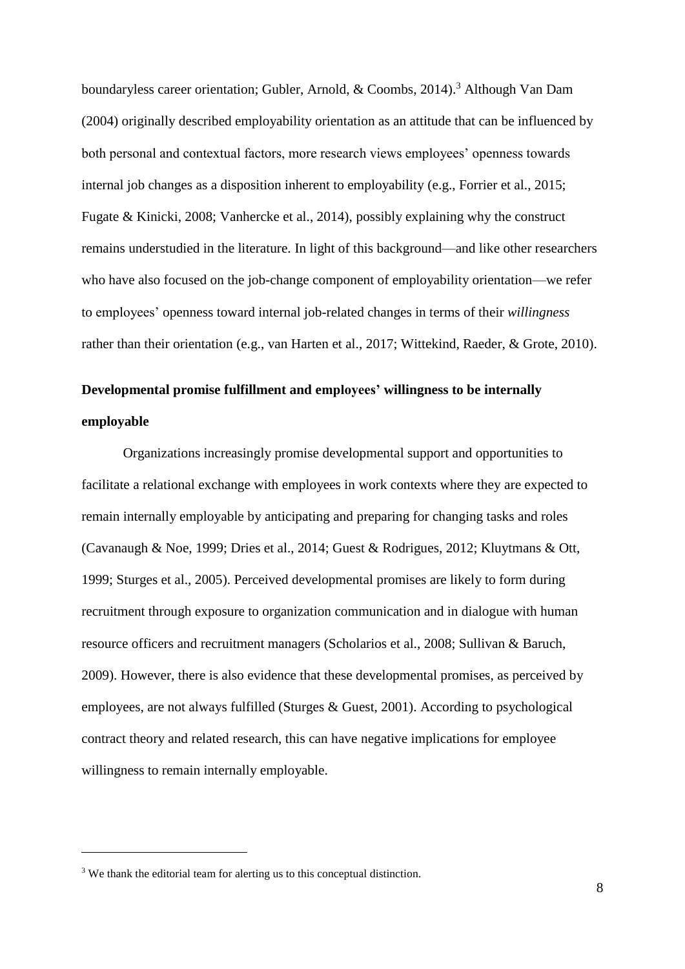boundaryless career orientation; Gubler, Arnold, & Coombs, 2014).<sup>3</sup> Although Van Dam (2004) originally described employability orientation as an attitude that can be influenced by both personal and contextual factors, more research views employees' openness towards internal job changes as a disposition inherent to employability (e.g., Forrier et al., 2015; Fugate & Kinicki, 2008; Vanhercke et al., 2014), possibly explaining why the construct remains understudied in the literature. In light of this background—and like other researchers who have also focused on the job-change component of employability orientation—we refer to employees' openness toward internal job-related changes in terms of their *willingness* rather than their orientation (e.g., van Harten et al., 2017; Wittekind, Raeder, & Grote, 2010).

# **Developmental promise fulfillment and employees' willingness to be internally employable**

Organizations increasingly promise developmental support and opportunities to facilitate a relational exchange with employees in work contexts where they are expected to remain internally employable by anticipating and preparing for changing tasks and roles (Cavanaugh & Noe, 1999; Dries et al., 2014; Guest & Rodrigues, 2012; Kluytmans & Ott, 1999; Sturges et al., 2005). Perceived developmental promises are likely to form during recruitment through exposure to organization communication and in dialogue with human resource officers and recruitment managers (Scholarios et al., 2008; Sullivan & Baruch, 2009). However, there is also evidence that these developmental promises, as perceived by employees, are not always fulfilled (Sturges & Guest, 2001). According to psychological contract theory and related research, this can have negative implications for employee willingness to remain internally employable.

 $\overline{a}$ 

<sup>&</sup>lt;sup>3</sup> We thank the editorial team for alerting us to this conceptual distinction.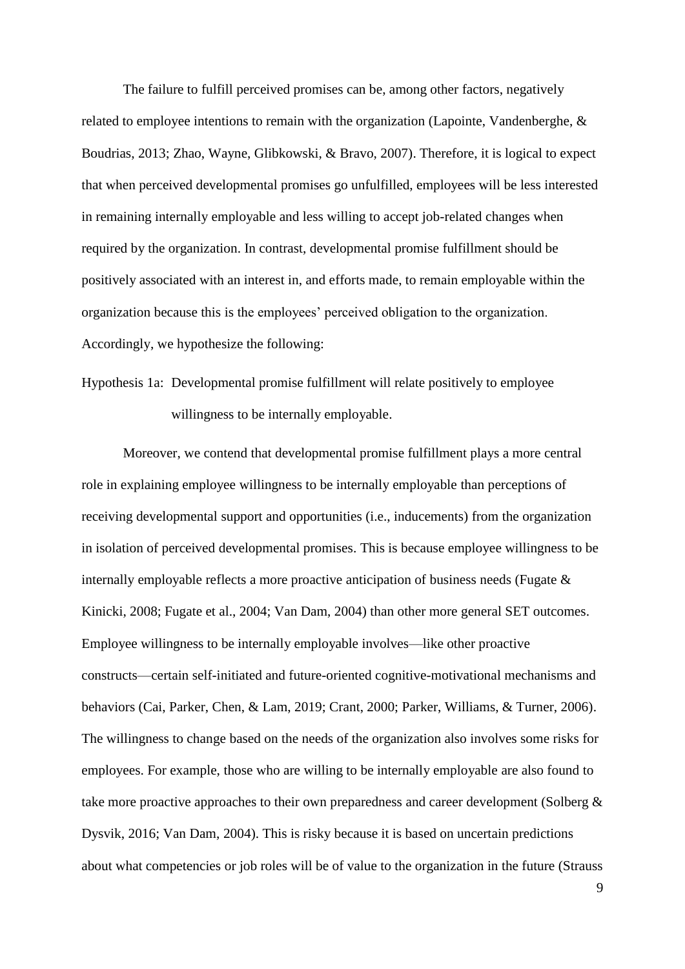The failure to fulfill perceived promises can be, among other factors, negatively related to employee intentions to remain with the organization (Lapointe, Vandenberghe, & Boudrias, 2013; Zhao, Wayne, Glibkowski, & Bravo, 2007). Therefore, it is logical to expect that when perceived developmental promises go unfulfilled, employees will be less interested in remaining internally employable and less willing to accept job-related changes when required by the organization. In contrast, developmental promise fulfillment should be positively associated with an interest in, and efforts made, to remain employable within the organization because this is the employees' perceived obligation to the organization. Accordingly, we hypothesize the following:

Hypothesis 1a: Developmental promise fulfillment will relate positively to employee willingness to be internally employable.

Moreover, we contend that developmental promise fulfillment plays a more central role in explaining employee willingness to be internally employable than perceptions of receiving developmental support and opportunities (i.e., inducements) from the organization in isolation of perceived developmental promises. This is because employee willingness to be internally employable reflects a more proactive anticipation of business needs (Fugate & Kinicki, 2008; Fugate et al., 2004; Van Dam, 2004) than other more general SET outcomes. Employee willingness to be internally employable involves—like other proactive constructs—certain self-initiated and future-oriented cognitive-motivational mechanisms and behaviors (Cai, Parker, Chen, & Lam, 2019; Crant, 2000; Parker, Williams, & Turner, 2006). The willingness to change based on the needs of the organization also involves some risks for employees. For example, those who are willing to be internally employable are also found to take more proactive approaches to their own preparedness and career development (Solberg & Dysvik, 2016; Van Dam, 2004). This is risky because it is based on uncertain predictions about what competencies or job roles will be of value to the organization in the future (Strauss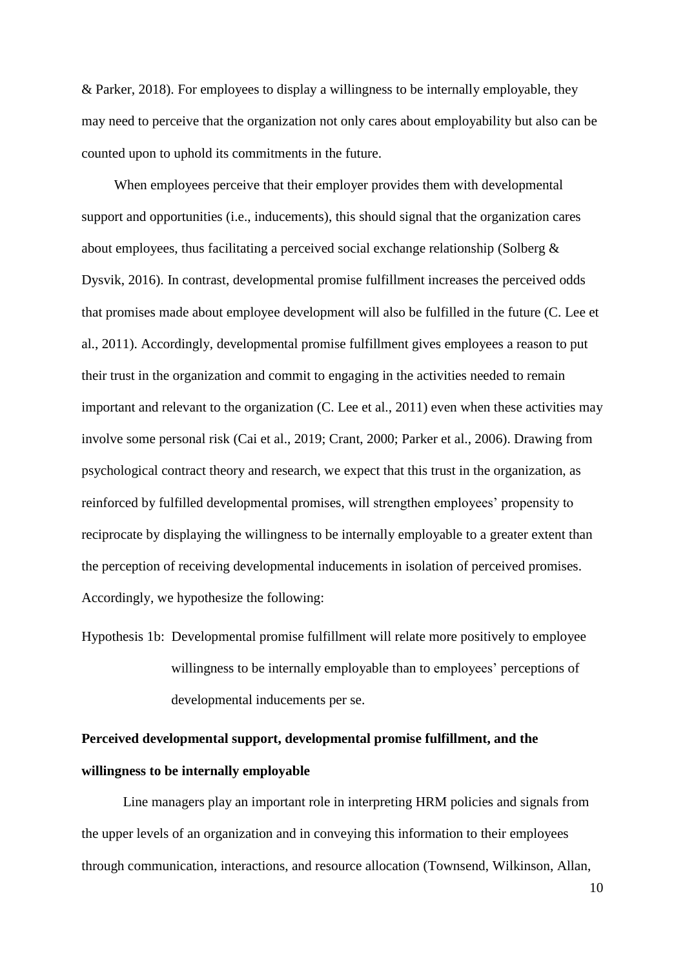& Parker, 2018). For employees to display a willingness to be internally employable, they may need to perceive that the organization not only cares about employability but also can be counted upon to uphold its commitments in the future.

When employees perceive that their employer provides them with developmental support and opportunities (i.e., inducements), this should signal that the organization cares about employees, thus facilitating a perceived social exchange relationship (Solberg  $\&$ Dysvik, 2016). In contrast, developmental promise fulfillment increases the perceived odds that promises made about employee development will also be fulfilled in the future (C. Lee et al., 2011). Accordingly, developmental promise fulfillment gives employees a reason to put their trust in the organization and commit to engaging in the activities needed to remain important and relevant to the organization (C. Lee et al., 2011) even when these activities may involve some personal risk (Cai et al., 2019; Crant, 2000; Parker et al., 2006). Drawing from psychological contract theory and research, we expect that this trust in the organization, as reinforced by fulfilled developmental promises, will strengthen employees' propensity to reciprocate by displaying the willingness to be internally employable to a greater extent than the perception of receiving developmental inducements in isolation of perceived promises. Accordingly, we hypothesize the following:

Hypothesis 1b: Developmental promise fulfillment will relate more positively to employee willingness to be internally employable than to employees' perceptions of developmental inducements per se.

# **Perceived developmental support, developmental promise fulfillment, and the willingness to be internally employable**

Line managers play an important role in interpreting HRM policies and signals from the upper levels of an organization and in conveying this information to their employees through communication, interactions, and resource allocation (Townsend, Wilkinson, Allan,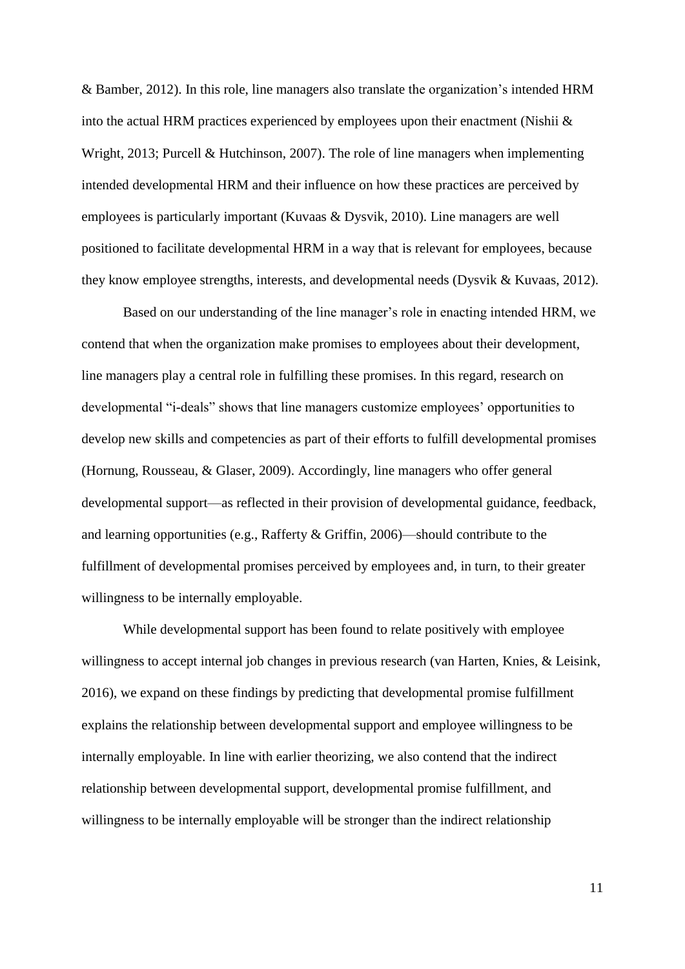& Bamber, 2012). In this role, line managers also translate the organization's intended HRM into the actual HRM practices experienced by employees upon their enactment (Nishii & Wright, 2013; Purcell & Hutchinson, 2007). The role of line managers when implementing intended developmental HRM and their influence on how these practices are perceived by employees is particularly important (Kuvaas & Dysvik, 2010). Line managers are well positioned to facilitate developmental HRM in a way that is relevant for employees, because they know employee strengths, interests, and developmental needs (Dysvik & Kuvaas, 2012).

Based on our understanding of the line manager's role in enacting intended HRM, we contend that when the organization make promises to employees about their development, line managers play a central role in fulfilling these promises. In this regard, research on developmental "i-deals" shows that line managers customize employees' opportunities to develop new skills and competencies as part of their efforts to fulfill developmental promises (Hornung, Rousseau, & Glaser, 2009). Accordingly, line managers who offer general developmental support—as reflected in their provision of developmental guidance, feedback, and learning opportunities (e.g., Rafferty & Griffin, 2006)—should contribute to the fulfillment of developmental promises perceived by employees and, in turn, to their greater willingness to be internally employable.

While developmental support has been found to relate positively with employee willingness to accept internal job changes in previous research (van Harten, Knies, & Leisink, 2016), we expand on these findings by predicting that developmental promise fulfillment explains the relationship between developmental support and employee willingness to be internally employable. In line with earlier theorizing, we also contend that the indirect relationship between developmental support, developmental promise fulfillment, and willingness to be internally employable will be stronger than the indirect relationship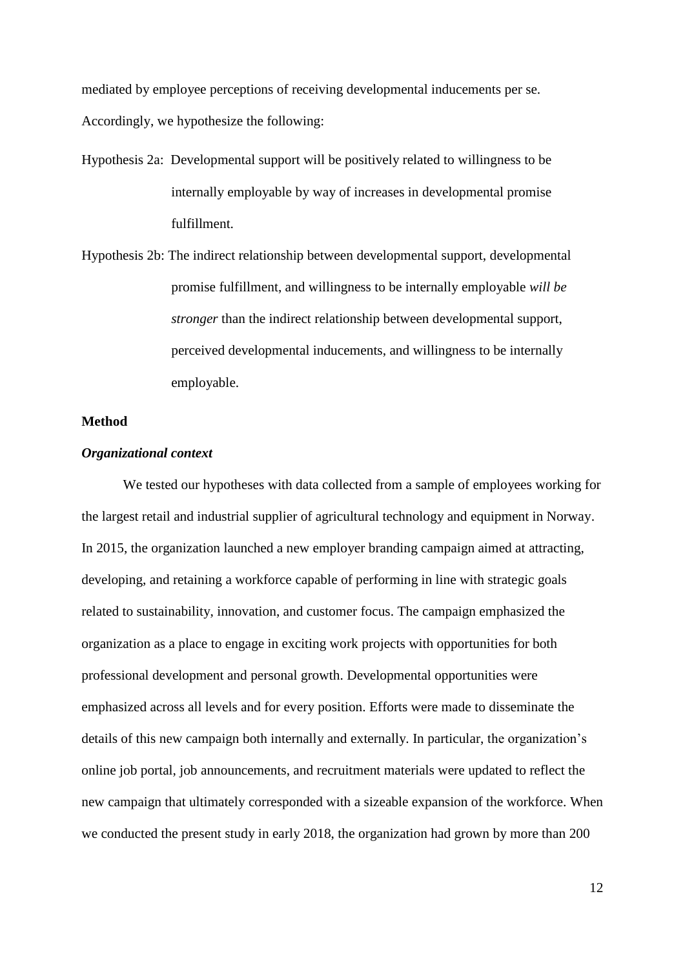mediated by employee perceptions of receiving developmental inducements per se. Accordingly, we hypothesize the following:

- Hypothesis 2a: Developmental support will be positively related to willingness to be internally employable by way of increases in developmental promise fulfillment.
- Hypothesis 2b: The indirect relationship between developmental support, developmental promise fulfillment, and willingness to be internally employable *will be stronger* than the indirect relationship between developmental support, perceived developmental inducements, and willingness to be internally employable.

## **Method**

### *Organizational context*

We tested our hypotheses with data collected from a sample of employees working for the largest retail and industrial supplier of agricultural technology and equipment in Norway. In 2015, the organization launched a new employer branding campaign aimed at attracting, developing, and retaining a workforce capable of performing in line with strategic goals related to sustainability, innovation, and customer focus. The campaign emphasized the organization as a place to engage in exciting work projects with opportunities for both professional development and personal growth. Developmental opportunities were emphasized across all levels and for every position. Efforts were made to disseminate the details of this new campaign both internally and externally. In particular, the organization's online job portal, job announcements, and recruitment materials were updated to reflect the new campaign that ultimately corresponded with a sizeable expansion of the workforce. When we conducted the present study in early 2018, the organization had grown by more than 200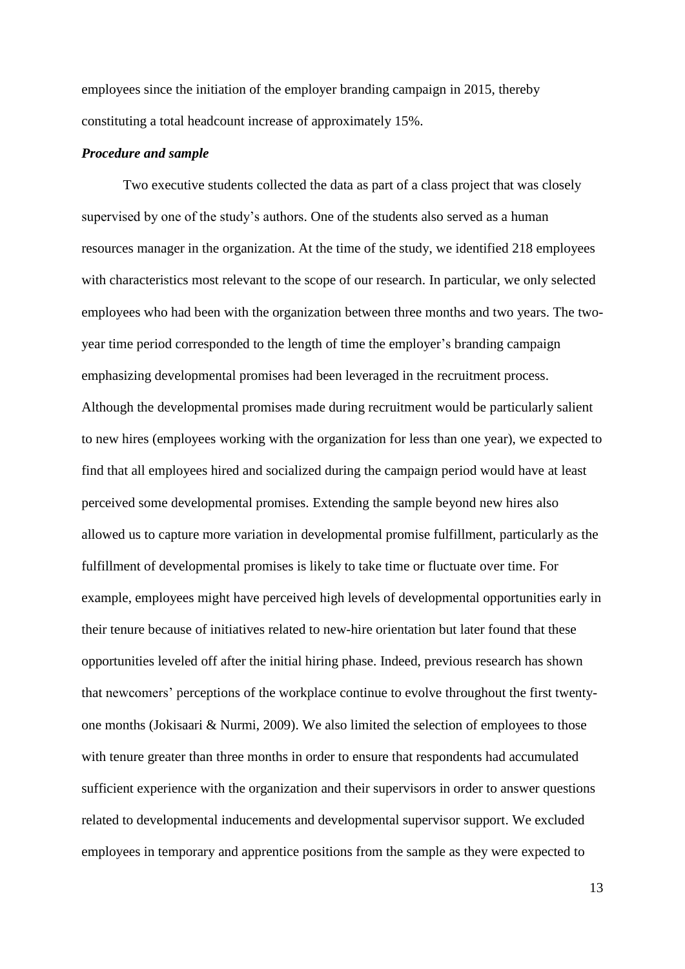employees since the initiation of the employer branding campaign in 2015, thereby constituting a total headcount increase of approximately 15%.

#### *Procedure and sample*

Two executive students collected the data as part of a class project that was closely supervised by one of the study's authors. One of the students also served as a human resources manager in the organization. At the time of the study, we identified 218 employees with characteristics most relevant to the scope of our research. In particular, we only selected employees who had been with the organization between three months and two years. The twoyear time period corresponded to the length of time the employer's branding campaign emphasizing developmental promises had been leveraged in the recruitment process. Although the developmental promises made during recruitment would be particularly salient to new hires (employees working with the organization for less than one year), we expected to find that all employees hired and socialized during the campaign period would have at least perceived some developmental promises. Extending the sample beyond new hires also allowed us to capture more variation in developmental promise fulfillment, particularly as the fulfillment of developmental promises is likely to take time or fluctuate over time. For example, employees might have perceived high levels of developmental opportunities early in their tenure because of initiatives related to new-hire orientation but later found that these opportunities leveled off after the initial hiring phase. Indeed, previous research has shown that newcomers' perceptions of the workplace continue to evolve throughout the first twentyone months (Jokisaari & Nurmi, 2009). We also limited the selection of employees to those with tenure greater than three months in order to ensure that respondents had accumulated sufficient experience with the organization and their supervisors in order to answer questions related to developmental inducements and developmental supervisor support. We excluded employees in temporary and apprentice positions from the sample as they were expected to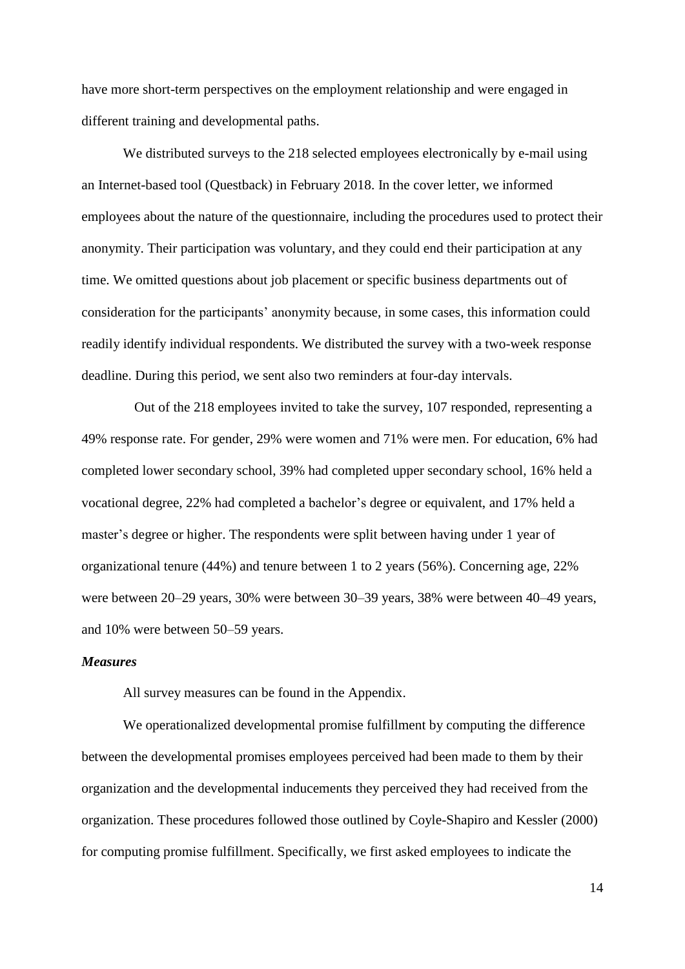have more short-term perspectives on the employment relationship and were engaged in different training and developmental paths.

We distributed surveys to the 218 selected employees electronically by e-mail using an Internet-based tool (Questback) in February 2018. In the cover letter, we informed employees about the nature of the questionnaire, including the procedures used to protect their anonymity. Their participation was voluntary, and they could end their participation at any time. We omitted questions about job placement or specific business departments out of consideration for the participants' anonymity because, in some cases, this information could readily identify individual respondents. We distributed the survey with a two-week response deadline. During this period, we sent also two reminders at four-day intervals.

Out of the 218 employees invited to take the survey, 107 responded, representing a 49% response rate. For gender, 29% were women and 71% were men. For education, 6% had completed lower secondary school, 39% had completed upper secondary school, 16% held a vocational degree, 22% had completed a bachelor's degree or equivalent, and 17% held a master's degree or higher. The respondents were split between having under 1 year of organizational tenure (44%) and tenure between 1 to 2 years (56%). Concerning age, 22% were between 20–29 years, 30% were between 30–39 years, 38% were between 40–49 years, and 10% were between 50–59 years.

#### *Measures*

All survey measures can be found in the Appendix.

We operationalized developmental promise fulfillment by computing the difference between the developmental promises employees perceived had been made to them by their organization and the developmental inducements they perceived they had received from the organization. These procedures followed those outlined by Coyle-Shapiro and Kessler (2000) for computing promise fulfillment. Specifically, we first asked employees to indicate the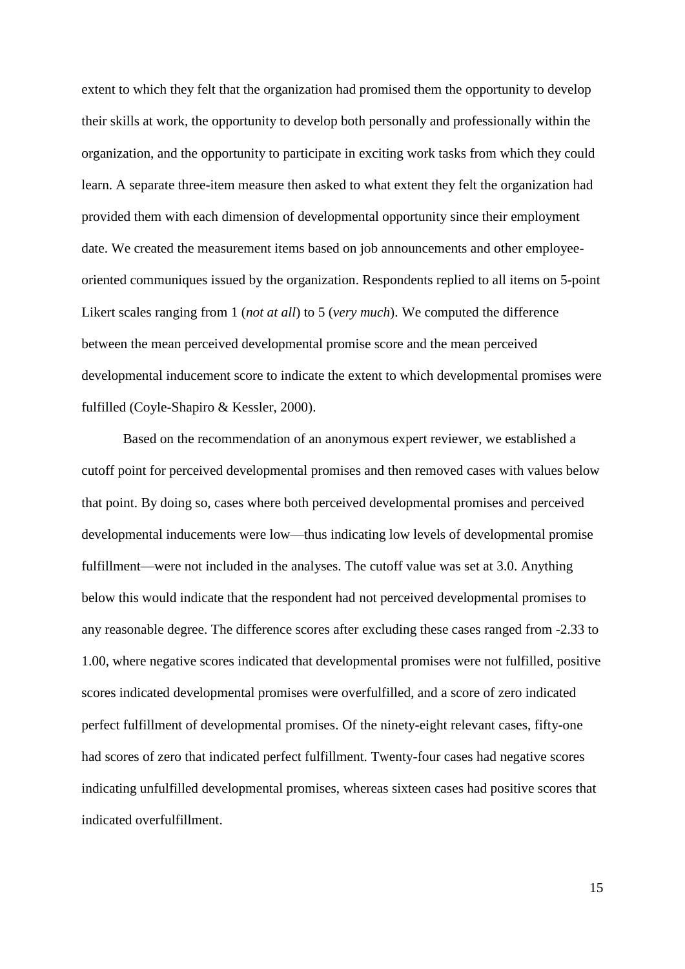extent to which they felt that the organization had promised them the opportunity to develop their skills at work, the opportunity to develop both personally and professionally within the organization, and the opportunity to participate in exciting work tasks from which they could learn. A separate three-item measure then asked to what extent they felt the organization had provided them with each dimension of developmental opportunity since their employment date. We created the measurement items based on job announcements and other employeeoriented communiques issued by the organization. Respondents replied to all items on 5-point Likert scales ranging from 1 (*not at all*) to 5 (*very much*). We computed the difference between the mean perceived developmental promise score and the mean perceived developmental inducement score to indicate the extent to which developmental promises were fulfilled (Coyle-Shapiro & Kessler, 2000).

Based on the recommendation of an anonymous expert reviewer, we established a cutoff point for perceived developmental promises and then removed cases with values below that point. By doing so, cases where both perceived developmental promises and perceived developmental inducements were low—thus indicating low levels of developmental promise fulfillment—were not included in the analyses. The cutoff value was set at 3.0. Anything below this would indicate that the respondent had not perceived developmental promises to any reasonable degree. The difference scores after excluding these cases ranged from -2.33 to 1.00, where negative scores indicated that developmental promises were not fulfilled, positive scores indicated developmental promises were overfulfilled, and a score of zero indicated perfect fulfillment of developmental promises. Of the ninety-eight relevant cases, fifty-one had scores of zero that indicated perfect fulfillment. Twenty-four cases had negative scores indicating unfulfilled developmental promises, whereas sixteen cases had positive scores that indicated overfulfillment.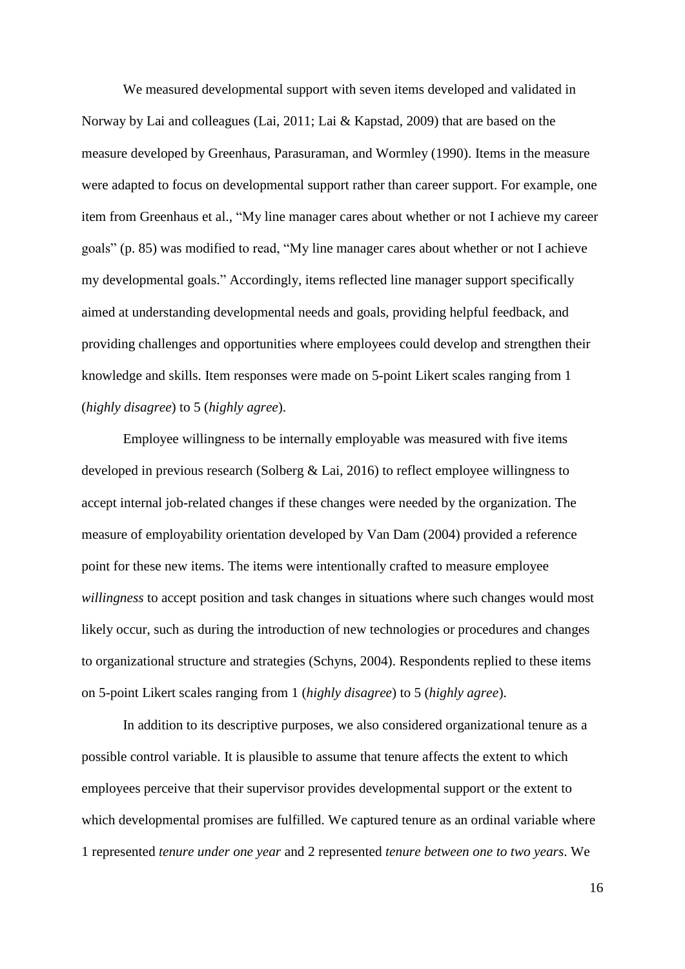We measured developmental support with seven items developed and validated in Norway by Lai and colleagues (Lai, 2011; Lai & Kapstad, 2009) that are based on the measure developed by Greenhaus, Parasuraman, and Wormley (1990). Items in the measure were adapted to focus on developmental support rather than career support. For example, one item from Greenhaus et al., "My line manager cares about whether or not I achieve my career goals" (p. 85) was modified to read, "My line manager cares about whether or not I achieve my developmental goals." Accordingly, items reflected line manager support specifically aimed at understanding developmental needs and goals, providing helpful feedback, and providing challenges and opportunities where employees could develop and strengthen their knowledge and skills. Item responses were made on 5-point Likert scales ranging from 1 (*highly disagree*) to 5 (*highly agree*).

Employee willingness to be internally employable was measured with five items developed in previous research (Solberg & Lai, 2016) to reflect employee willingness to accept internal job-related changes if these changes were needed by the organization. The measure of employability orientation developed by Van Dam (2004) provided a reference point for these new items. The items were intentionally crafted to measure employee *willingness* to accept position and task changes in situations where such changes would most likely occur, such as during the introduction of new technologies or procedures and changes to organizational structure and strategies (Schyns, 2004). Respondents replied to these items on 5-point Likert scales ranging from 1 (*highly disagree*) to 5 (*highly agree*).

In addition to its descriptive purposes, we also considered organizational tenure as a possible control variable. It is plausible to assume that tenure affects the extent to which employees perceive that their supervisor provides developmental support or the extent to which developmental promises are fulfilled. We captured tenure as an ordinal variable where 1 represented *tenure under one year* and 2 represented *tenure between one to two years*. We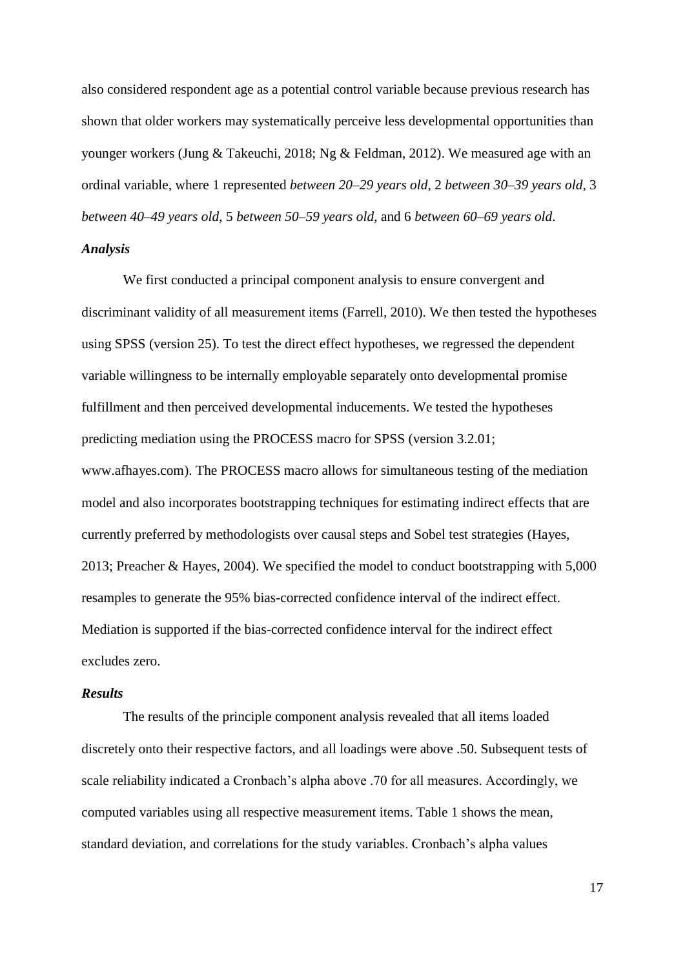also considered respondent age as a potential control variable because previous research has shown that older workers may systematically perceive less developmental opportunities than younger workers (Jung & Takeuchi, 2018; Ng & Feldman, 2012). We measured age with an ordinal variable, where 1 represented *between 20–29 years old*, 2 *between 30–39 years old*, 3 *between 40–49 years old*, 5 *between 50–59 years old*, and 6 *between 60–69 years old*.

#### *Analysis*

We first conducted a principal component analysis to ensure convergent and discriminant validity of all measurement items (Farrell, 2010). We then tested the hypotheses using SPSS (version 25). To test the direct effect hypotheses, we regressed the dependent variable willingness to be internally employable separately onto developmental promise fulfillment and then perceived developmental inducements. We tested the hypotheses predicting mediation using the PROCESS macro for SPSS (version 3.2.01; www.afhayes.com). The PROCESS macro allows for simultaneous testing of the mediation model and also incorporates bootstrapping techniques for estimating indirect effects that are currently preferred by methodologists over causal steps and Sobel test strategies (Hayes, 2013; Preacher & Hayes, 2004). We specified the model to conduct bootstrapping with 5,000 resamples to generate the 95% bias-corrected confidence interval of the indirect effect. Mediation is supported if the bias-corrected confidence interval for the indirect effect excludes zero.

#### *Results*

The results of the principle component analysis revealed that all items loaded discretely onto their respective factors, and all loadings were above .50. Subsequent tests of scale reliability indicated a Cronbach's alpha above .70 for all measures. Accordingly, we computed variables using all respective measurement items. Table 1 shows the mean, standard deviation, and correlations for the study variables. Cronbach's alpha values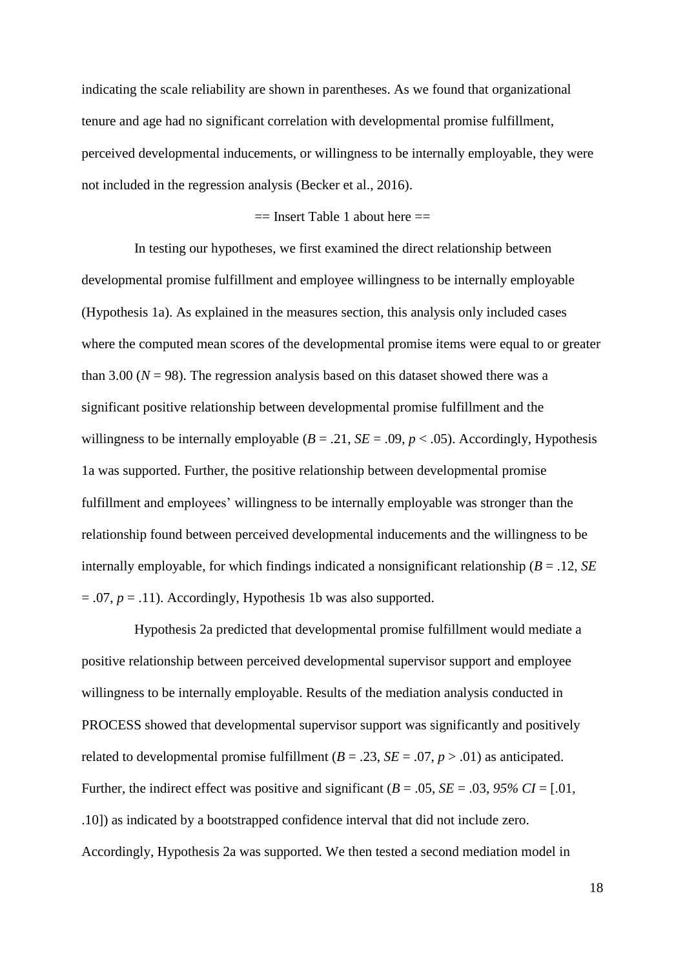indicating the scale reliability are shown in parentheses. As we found that organizational tenure and age had no significant correlation with developmental promise fulfillment, perceived developmental inducements, or willingness to be internally employable, they were not included in the regression analysis (Becker et al., 2016).

### $==$  Insert Table 1 about here  $==$

In testing our hypotheses, we first examined the direct relationship between developmental promise fulfillment and employee willingness to be internally employable (Hypothesis 1a). As explained in the measures section, this analysis only included cases where the computed mean scores of the developmental promise items were equal to or greater than 3.00 ( $N = 98$ ). The regression analysis based on this dataset showed there was a significant positive relationship between developmental promise fulfillment and the willingness to be internally employable  $(B = .21, SE = .09, p < .05)$ . Accordingly, Hypothesis 1a was supported. Further, the positive relationship between developmental promise fulfillment and employees' willingness to be internally employable was stronger than the relationship found between perceived developmental inducements and the willingness to be internally employable, for which findings indicated a nonsignificant relationship (*B* = .12, *SE*  $= .07, p = .11$ ). Accordingly, Hypothesis 1b was also supported.

Hypothesis 2a predicted that developmental promise fulfillment would mediate a positive relationship between perceived developmental supervisor support and employee willingness to be internally employable. Results of the mediation analysis conducted in PROCESS showed that developmental supervisor support was significantly and positively related to developmental promise fulfillment ( $B = .23$ ,  $SE = .07$ ,  $p > .01$ ) as anticipated. Further, the indirect effect was positive and significant ( $B = .05$ ,  $SE = .03$ ,  $95\% CI = [.01]$ , .10]) as indicated by a bootstrapped confidence interval that did not include zero. Accordingly, Hypothesis 2a was supported. We then tested a second mediation model in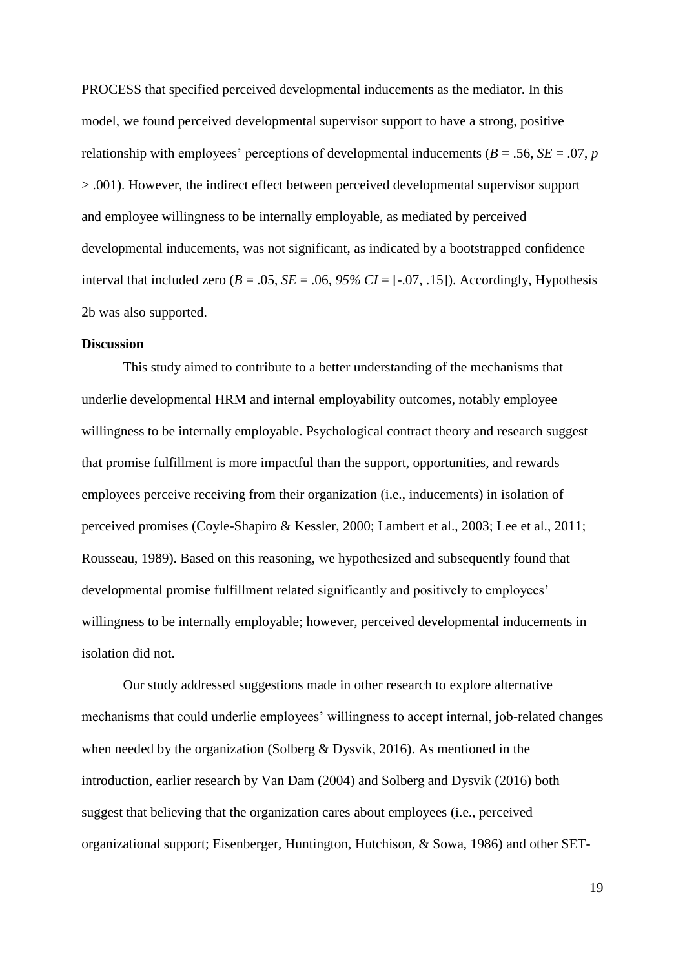PROCESS that specified perceived developmental inducements as the mediator. In this model, we found perceived developmental supervisor support to have a strong, positive relationship with employees' perceptions of developmental inducements ( $B = .56$ ,  $SE = .07$ , *p* > .001). However, the indirect effect between perceived developmental supervisor support and employee willingness to be internally employable, as mediated by perceived developmental inducements, was not significant, as indicated by a bootstrapped confidence interval that included zero  $(B = .05, SE = .06, 95\% CI = [-.07, .15])$ . Accordingly, Hypothesis 2b was also supported.

#### **Discussion**

This study aimed to contribute to a better understanding of the mechanisms that underlie developmental HRM and internal employability outcomes, notably employee willingness to be internally employable. Psychological contract theory and research suggest that promise fulfillment is more impactful than the support, opportunities, and rewards employees perceive receiving from their organization (i.e., inducements) in isolation of perceived promises (Coyle-Shapiro & Kessler, 2000; Lambert et al., 2003; Lee et al., 2011; Rousseau, 1989). Based on this reasoning, we hypothesized and subsequently found that developmental promise fulfillment related significantly and positively to employees' willingness to be internally employable; however, perceived developmental inducements in isolation did not.

Our study addressed suggestions made in other research to explore alternative mechanisms that could underlie employees' willingness to accept internal, job-related changes when needed by the organization (Solberg & Dysvik, 2016). As mentioned in the introduction, earlier research by Van Dam (2004) and Solberg and Dysvik (2016) both suggest that believing that the organization cares about employees (i.e., perceived organizational support; Eisenberger, Huntington, Hutchison, & Sowa, 1986) and other SET-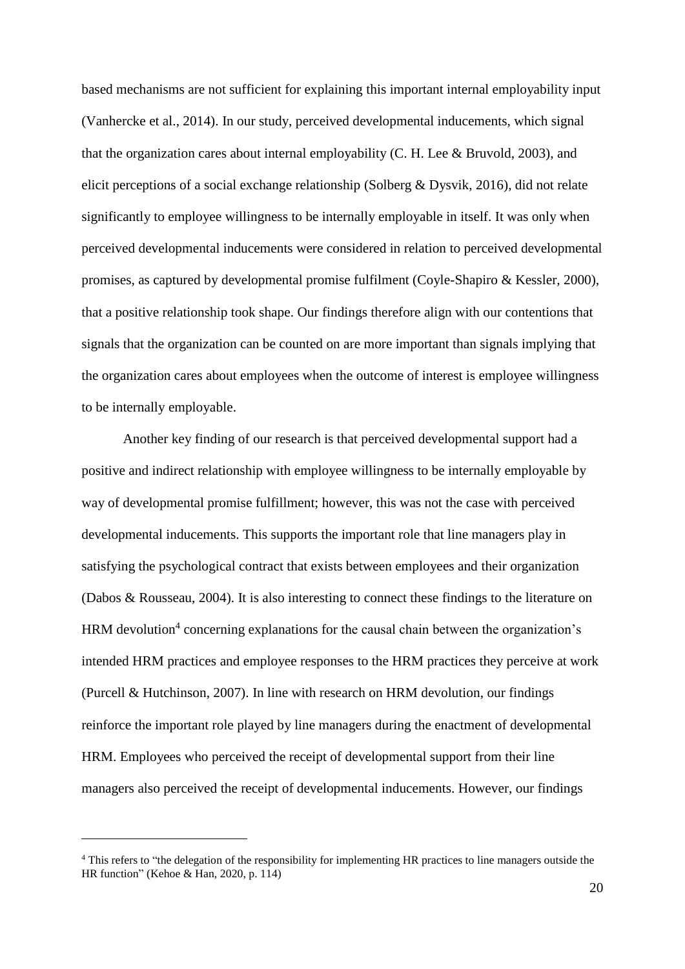based mechanisms are not sufficient for explaining this important internal employability input (Vanhercke et al., 2014). In our study, perceived developmental inducements, which signal that the organization cares about internal employability (C. H. Lee & Bruvold, 2003), and elicit perceptions of a social exchange relationship (Solberg & Dysvik, 2016), did not relate significantly to employee willingness to be internally employable in itself. It was only when perceived developmental inducements were considered in relation to perceived developmental promises, as captured by developmental promise fulfilment (Coyle-Shapiro & Kessler, 2000), that a positive relationship took shape. Our findings therefore align with our contentions that signals that the organization can be counted on are more important than signals implying that the organization cares about employees when the outcome of interest is employee willingness to be internally employable.

Another key finding of our research is that perceived developmental support had a positive and indirect relationship with employee willingness to be internally employable by way of developmental promise fulfillment; however, this was not the case with perceived developmental inducements. This supports the important role that line managers play in satisfying the psychological contract that exists between employees and their organization (Dabos & Rousseau, 2004). It is also interesting to connect these findings to the literature on HRM devolution<sup>4</sup> concerning explanations for the causal chain between the organization's intended HRM practices and employee responses to the HRM practices they perceive at work (Purcell & Hutchinson, 2007). In line with research on HRM devolution, our findings reinforce the important role played by line managers during the enactment of developmental HRM. Employees who perceived the receipt of developmental support from their line managers also perceived the receipt of developmental inducements. However, our findings

 $\overline{a}$ 

<sup>&</sup>lt;sup>4</sup> This refers to "the delegation of the responsibility for implementing HR practices to line managers outside the HR function" (Kehoe & Han, 2020, p. 114)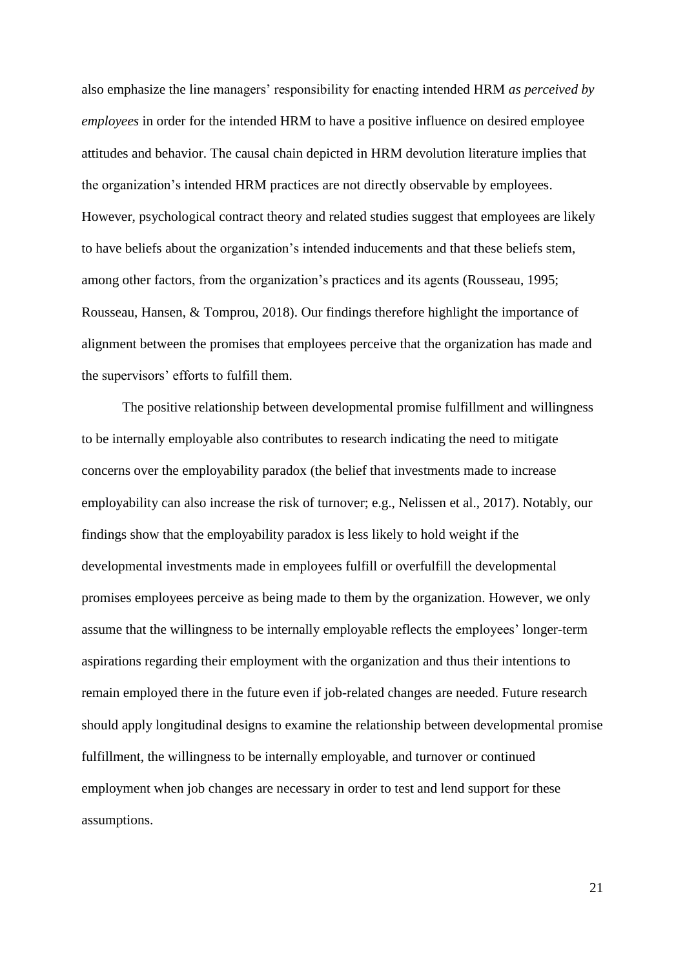also emphasize the line managers' responsibility for enacting intended HRM *as perceived by employees* in order for the intended HRM to have a positive influence on desired employee attitudes and behavior. The causal chain depicted in HRM devolution literature implies that the organization's intended HRM practices are not directly observable by employees. However, psychological contract theory and related studies suggest that employees are likely to have beliefs about the organization's intended inducements and that these beliefs stem, among other factors, from the organization's practices and its agents (Rousseau, 1995; Rousseau, Hansen, & Tomprou, 2018). Our findings therefore highlight the importance of alignment between the promises that employees perceive that the organization has made and the supervisors' efforts to fulfill them.

The positive relationship between developmental promise fulfillment and willingness to be internally employable also contributes to research indicating the need to mitigate concerns over the employability paradox (the belief that investments made to increase employability can also increase the risk of turnover; e.g., Nelissen et al., 2017). Notably, our findings show that the employability paradox is less likely to hold weight if the developmental investments made in employees fulfill or overfulfill the developmental promises employees perceive as being made to them by the organization. However, we only assume that the willingness to be internally employable reflects the employees' longer-term aspirations regarding their employment with the organization and thus their intentions to remain employed there in the future even if job-related changes are needed. Future research should apply longitudinal designs to examine the relationship between developmental promise fulfillment, the willingness to be internally employable, and turnover or continued employment when job changes are necessary in order to test and lend support for these assumptions.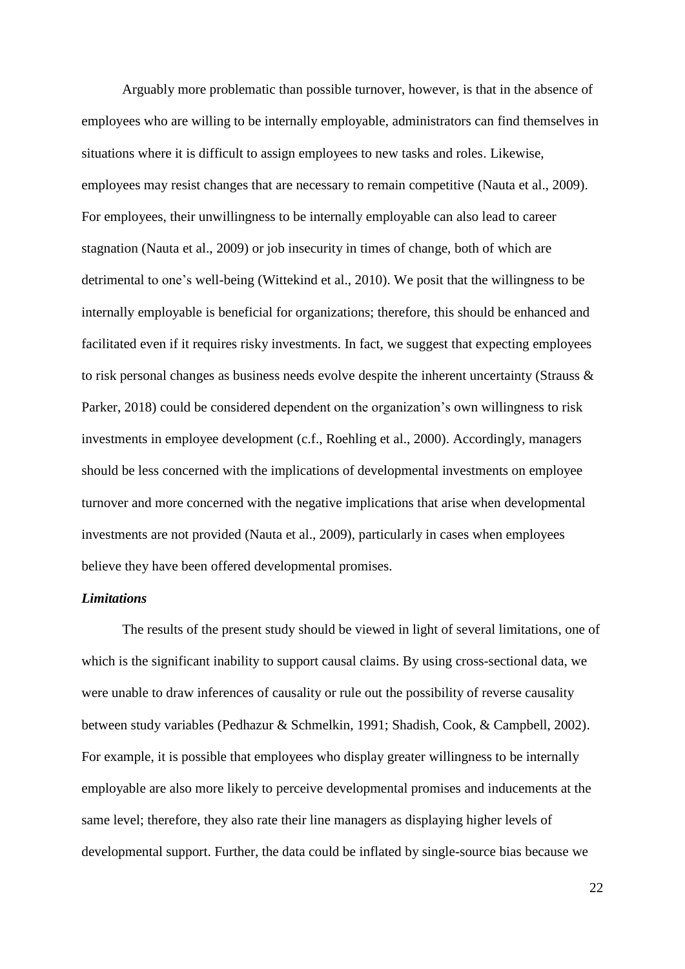Arguably more problematic than possible turnover, however, is that in the absence of employees who are willing to be internally employable, administrators can find themselves in situations where it is difficult to assign employees to new tasks and roles. Likewise, employees may resist changes that are necessary to remain competitive (Nauta et al., 2009). For employees, their unwillingness to be internally employable can also lead to career stagnation (Nauta et al., 2009) or job insecurity in times of change, both of which are detrimental to one's well-being (Wittekind et al., 2010). We posit that the willingness to be internally employable is beneficial for organizations; therefore, this should be enhanced and facilitated even if it requires risky investments. In fact, we suggest that expecting employees to risk personal changes as business needs evolve despite the inherent uncertainty (Strauss & Parker, 2018) could be considered dependent on the organization's own willingness to risk investments in employee development (c.f., Roehling et al., 2000). Accordingly, managers should be less concerned with the implications of developmental investments on employee turnover and more concerned with the negative implications that arise when developmental investments are not provided (Nauta et al., 2009), particularly in cases when employees believe they have been offered developmental promises.

## *Limitations*

The results of the present study should be viewed in light of several limitations, one of which is the significant inability to support causal claims. By using cross-sectional data, we were unable to draw inferences of causality or rule out the possibility of reverse causality between study variables (Pedhazur & Schmelkin, 1991; Shadish, Cook, & Campbell, 2002). For example, it is possible that employees who display greater willingness to be internally employable are also more likely to perceive developmental promises and inducements at the same level; therefore, they also rate their line managers as displaying higher levels of developmental support. Further, the data could be inflated by single-source bias because we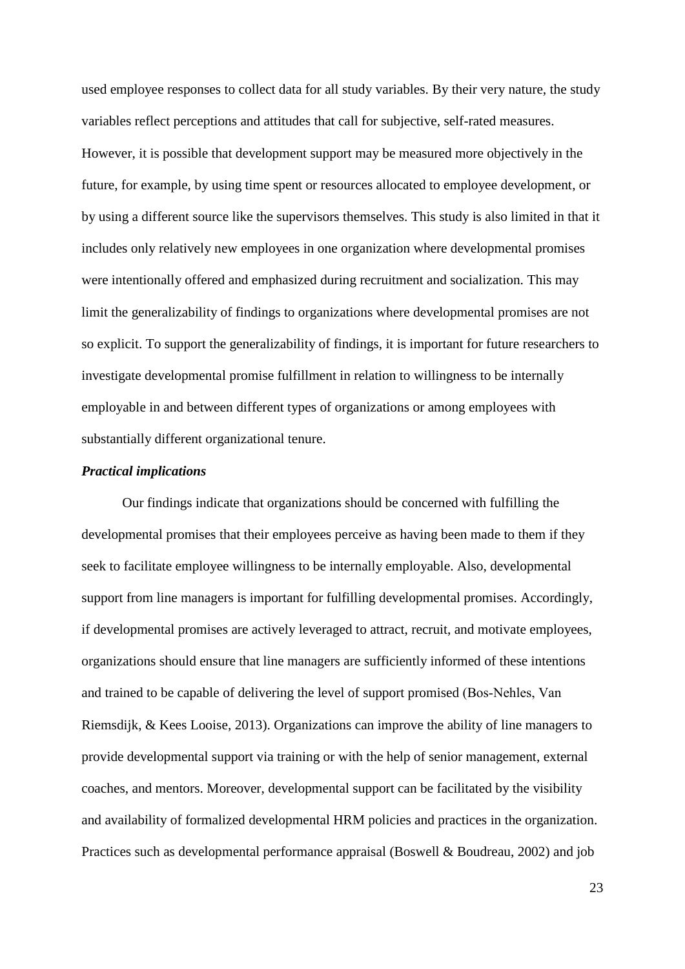used employee responses to collect data for all study variables. By their very nature, the study variables reflect perceptions and attitudes that call for subjective, self-rated measures. However, it is possible that development support may be measured more objectively in the future, for example, by using time spent or resources allocated to employee development, or by using a different source like the supervisors themselves. This study is also limited in that it includes only relatively new employees in one organization where developmental promises were intentionally offered and emphasized during recruitment and socialization. This may limit the generalizability of findings to organizations where developmental promises are not so explicit. To support the generalizability of findings, it is important for future researchers to investigate developmental promise fulfillment in relation to willingness to be internally employable in and between different types of organizations or among employees with substantially different organizational tenure.

#### *Practical implications*

Our findings indicate that organizations should be concerned with fulfilling the developmental promises that their employees perceive as having been made to them if they seek to facilitate employee willingness to be internally employable. Also, developmental support from line managers is important for fulfilling developmental promises. Accordingly, if developmental promises are actively leveraged to attract, recruit, and motivate employees, organizations should ensure that line managers are sufficiently informed of these intentions and trained to be capable of delivering the level of support promised (Bos‐Nehles, Van Riemsdijk, & Kees Looise, 2013). Organizations can improve the ability of line managers to provide developmental support via training or with the help of senior management, external coaches, and mentors. Moreover, developmental support can be facilitated by the visibility and availability of formalized developmental HRM policies and practices in the organization. Practices such as developmental performance appraisal (Boswell & Boudreau, 2002) and job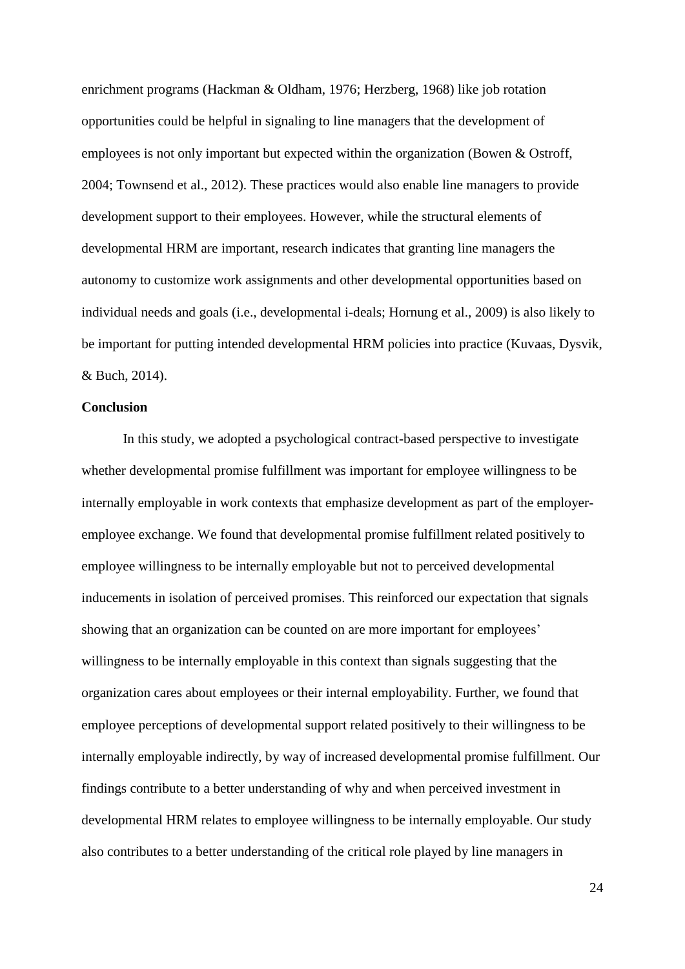enrichment programs (Hackman & Oldham, 1976; Herzberg, 1968) like job rotation opportunities could be helpful in signaling to line managers that the development of employees is not only important but expected within the organization (Bowen & Ostroff, 2004; Townsend et al., 2012). These practices would also enable line managers to provide development support to their employees. However, while the structural elements of developmental HRM are important, research indicates that granting line managers the autonomy to customize work assignments and other developmental opportunities based on individual needs and goals (i.e., developmental i-deals; Hornung et al., 2009) is also likely to be important for putting intended developmental HRM policies into practice (Kuvaas, Dysvik, & Buch, 2014).

#### **Conclusion**

In this study, we adopted a psychological contract-based perspective to investigate whether developmental promise fulfillment was important for employee willingness to be internally employable in work contexts that emphasize development as part of the employeremployee exchange. We found that developmental promise fulfillment related positively to employee willingness to be internally employable but not to perceived developmental inducements in isolation of perceived promises. This reinforced our expectation that signals showing that an organization can be counted on are more important for employees' willingness to be internally employable in this context than signals suggesting that the organization cares about employees or their internal employability. Further, we found that employee perceptions of developmental support related positively to their willingness to be internally employable indirectly, by way of increased developmental promise fulfillment. Our findings contribute to a better understanding of why and when perceived investment in developmental HRM relates to employee willingness to be internally employable. Our study also contributes to a better understanding of the critical role played by line managers in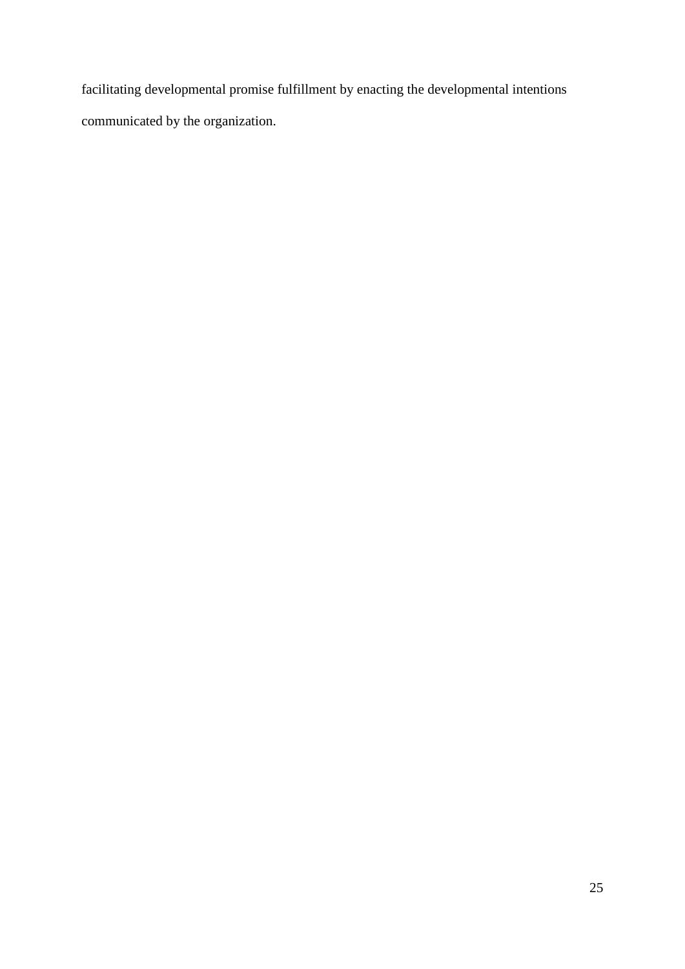facilitating developmental promise fulfillment by enacting the developmental intentions communicated by the organization.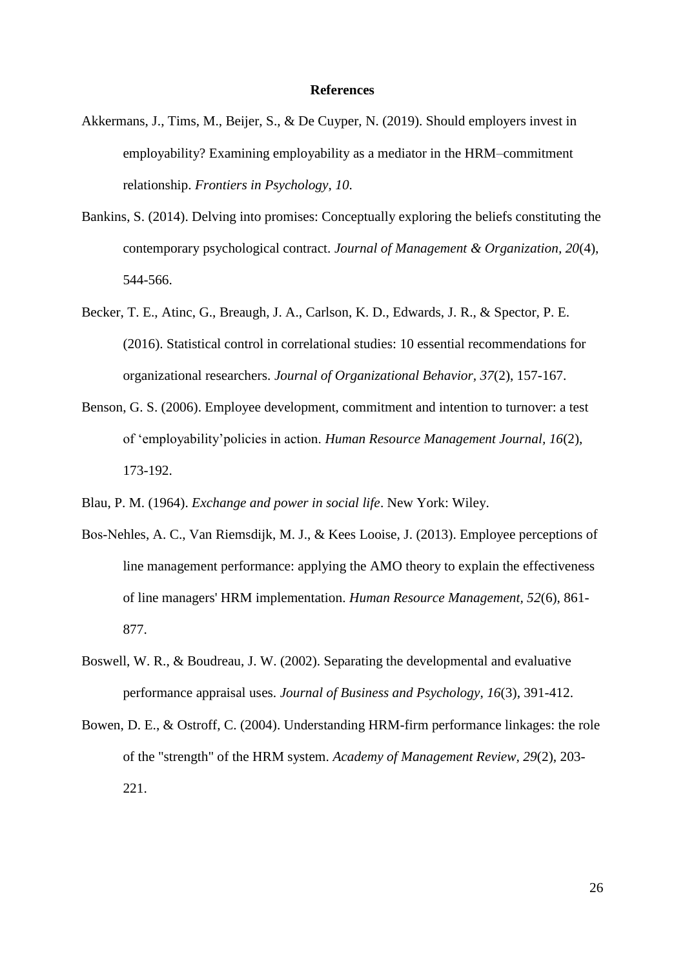#### **References**

- Akkermans, J., Tims, M., Beijer, S., & De Cuyper, N. (2019). Should employers invest in employability? Examining employability as a mediator in the HRM–commitment relationship. *Frontiers in Psychology, 10*.
- Bankins, S. (2014). Delving into promises: Conceptually exploring the beliefs constituting the contemporary psychological contract. *Journal of Management & Organization, 20*(4), 544-566.
- Becker, T. E., Atinc, G., Breaugh, J. A., Carlson, K. D., Edwards, J. R., & Spector, P. E. (2016). Statistical control in correlational studies: 10 essential recommendations for organizational researchers. *Journal of Organizational Behavior, 37*(2), 157-167.
- Benson, G. S. (2006). Employee development, commitment and intention to turnover: a test of 'employability'policies in action. *Human Resource Management Journal, 16*(2), 173-192.
- Blau, P. M. (1964). *Exchange and power in social life*. New York: Wiley.
- Bos‐Nehles, A. C., Van Riemsdijk, M. J., & Kees Looise, J. (2013). Employee perceptions of line management performance: applying the AMO theory to explain the effectiveness of line managers' HRM implementation. *Human Resource Management, 52*(6), 861- 877.
- Boswell, W. R., & Boudreau, J. W. (2002). Separating the developmental and evaluative performance appraisal uses. *Journal of Business and Psychology, 16*(3), 391-412.
- Bowen, D. E., & Ostroff, C. (2004). Understanding HRM-firm performance linkages: the role of the "strength" of the HRM system. *Academy of Management Review, 29*(2), 203- 221.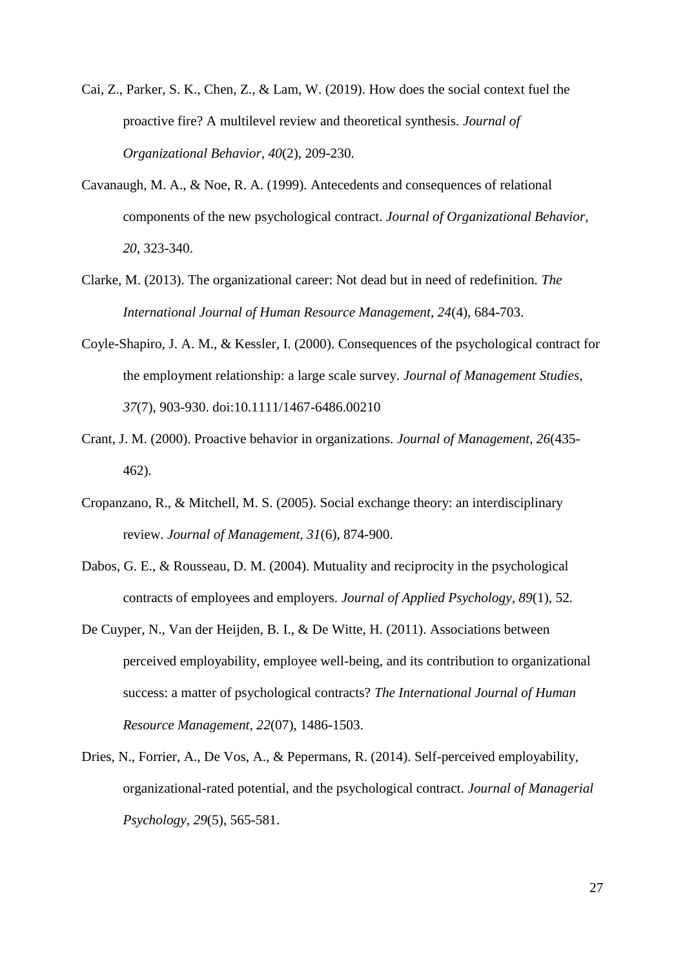- Cai, Z., Parker, S. K., Chen, Z., & Lam, W. (2019). How does the social context fuel the proactive fire? A multilevel review and theoretical synthesis. *Journal of Organizational Behavior, 40*(2), 209-230.
- Cavanaugh, M. A., & Noe, R. A. (1999). Antecedents and consequences of relational components of the new psychological contract. *Journal of Organizational Behavior, 20*, 323-340.
- Clarke, M. (2013). The organizational career: Not dead but in need of redefinition. *The International Journal of Human Resource Management, 24*(4), 684-703.
- Coyle-Shapiro, J. A. M., & Kessler, I. (2000). Consequences of the psychological contract for the employment relationship: a large scale survey. *Journal of Management Studies, 37*(7), 903-930. doi:10.1111/1467-6486.00210
- Crant, J. M. (2000). Proactive behavior in organizations. *Journal of Management, 26*(435- 462).
- Cropanzano, R., & Mitchell, M. S. (2005). Social exchange theory: an interdisciplinary review. *Journal of Management, 31*(6), 874-900.
- Dabos, G. E., & Rousseau, D. M. (2004). Mutuality and reciprocity in the psychological contracts of employees and employers. *Journal of Applied Psychology, 89*(1), 52.
- De Cuyper, N., Van der Heijden, B. I., & De Witte, H. (2011). Associations between perceived employability, employee well-being, and its contribution to organizational success: a matter of psychological contracts? *The International Journal of Human Resource Management, 22*(07), 1486-1503.
- Dries, N., Forrier, A., De Vos, A., & Pepermans, R. (2014). Self-perceived employability, organizational-rated potential, and the psychological contract. *Journal of Managerial Psychology, 29*(5), 565-581.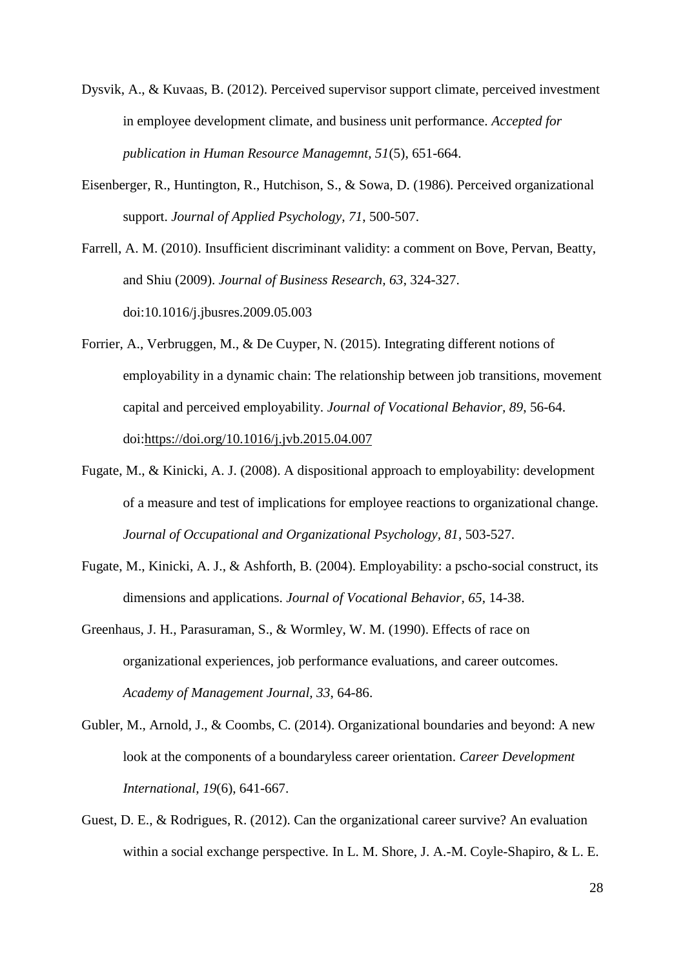- Dysvik, A., & Kuvaas, B. (2012). Perceived supervisor support climate, perceived investment in employee development climate, and business unit performance. *Accepted for publication in Human Resource Managemnt, 51*(5), 651-664.
- Eisenberger, R., Huntington, R., Hutchison, S., & Sowa, D. (1986). Perceived organizational support. *Journal of Applied Psychology, 71*, 500-507.

Farrell, A. M. (2010). Insufficient discriminant validity: a comment on Bove, Pervan, Beatty, and Shiu (2009). *Journal of Business Research, 63*, 324-327. doi:10.1016/j.jbusres.2009.05.003

- Forrier, A., Verbruggen, M., & De Cuyper, N. (2015). Integrating different notions of employability in a dynamic chain: The relationship between job transitions, movement capital and perceived employability. *Journal of Vocational Behavior, 89*, 56-64. doi[:https://doi.org/10.1016/j.jvb.2015.04.007](https://doi.org/10.1016/j.jvb.2015.04.007)
- Fugate, M., & Kinicki, A. J. (2008). A dispositional approach to employability: development of a measure and test of implications for employee reactions to organizational change. *Journal of Occupational and Organizational Psychology, 81*, 503-527.
- Fugate, M., Kinicki, A. J., & Ashforth, B. (2004). Employability: a pscho-social construct, its dimensions and applications. *Journal of Vocational Behavior, 65*, 14-38.
- Greenhaus, J. H., Parasuraman, S., & Wormley, W. M. (1990). Effects of race on organizational experiences, job performance evaluations, and career outcomes. *Academy of Management Journal, 33*, 64-86.
- Gubler, M., Arnold, J., & Coombs, C. (2014). Organizational boundaries and beyond: A new look at the components of a boundaryless career orientation. *Career Development International, 19*(6), 641-667.
- Guest, D. E., & Rodrigues, R. (2012). Can the organizational career survive? An evaluation within a social exchange perspective. In L. M. Shore, J. A.-M. Coyle-Shapiro, & L. E.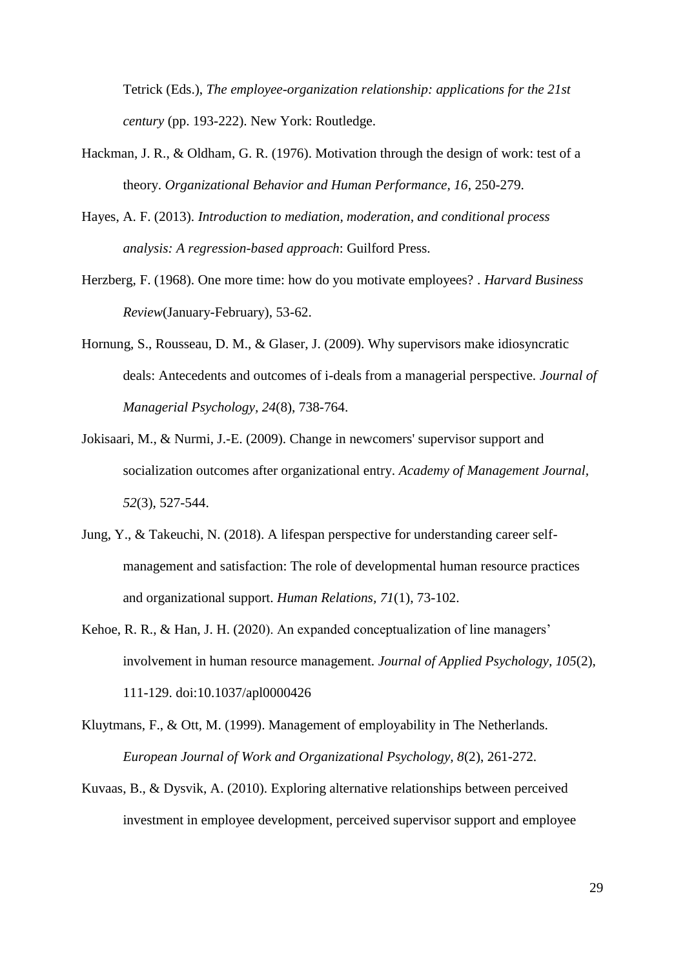Tetrick (Eds.), *The employee-organization relationship: applications for the 21st century* (pp. 193-222). New York: Routledge.

- Hackman, J. R., & Oldham, G. R. (1976). Motivation through the design of work: test of a theory. *Organizational Behavior and Human Performance, 16*, 250-279.
- Hayes, A. F. (2013). *Introduction to mediation, moderation, and conditional process analysis: A regression-based approach*: Guilford Press.
- Herzberg, F. (1968). One more time: how do you motivate employees? . *Harvard Business Review*(January-February), 53-62.
- Hornung, S., Rousseau, D. M., & Glaser, J. (2009). Why supervisors make idiosyncratic deals: Antecedents and outcomes of i-deals from a managerial perspective. *Journal of Managerial Psychology, 24*(8), 738-764.
- Jokisaari, M., & Nurmi, J.-E. (2009). Change in newcomers' supervisor support and socialization outcomes after organizational entry. *Academy of Management Journal, 52*(3), 527-544.
- Jung, Y., & Takeuchi, N. (2018). A lifespan perspective for understanding career selfmanagement and satisfaction: The role of developmental human resource practices and organizational support. *Human Relations, 71*(1), 73-102.
- Kehoe, R. R., & Han, J. H. (2020). An expanded conceptualization of line managers' involvement in human resource management. *Journal of Applied Psychology, 105*(2), 111-129. doi:10.1037/apl0000426
- Kluytmans, F., & Ott, M. (1999). Management of employability in The Netherlands. *European Journal of Work and Organizational Psychology, 8*(2), 261-272.
- Kuvaas, B., & Dysvik, A. (2010). Exploring alternative relationships between perceived investment in employee development, perceived supervisor support and employee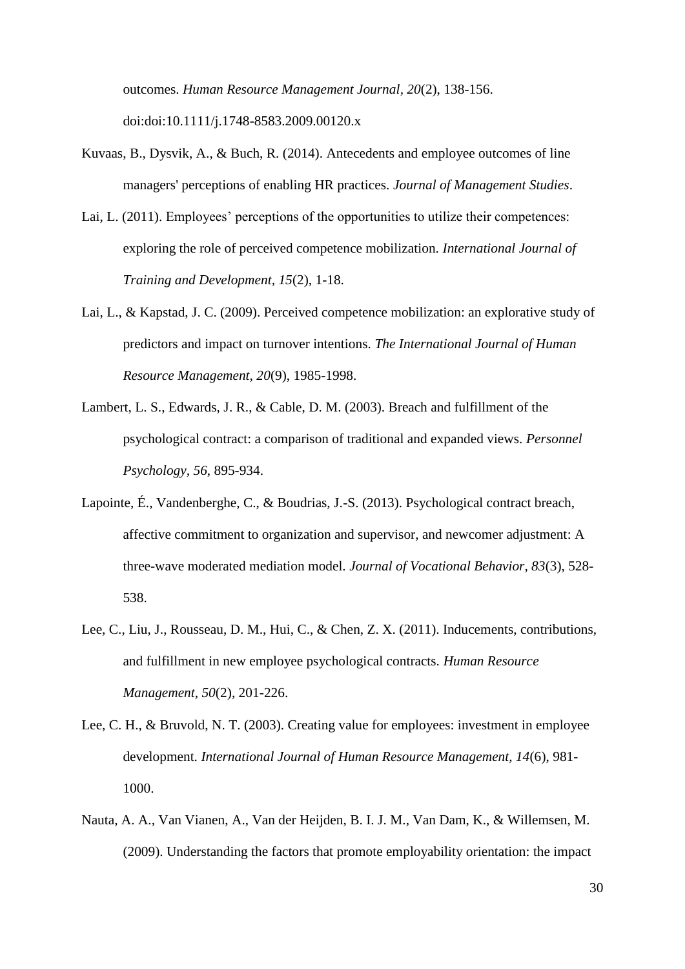outcomes. *Human Resource Management Journal, 20*(2), 138-156. doi:doi:10.1111/j.1748-8583.2009.00120.x

- Kuvaas, B., Dysvik, A., & Buch, R. (2014). Antecedents and employee outcomes of line managers' perceptions of enabling HR practices. *Journal of Management Studies*.
- Lai, L. (2011). Employees' perceptions of the opportunities to utilize their competences: exploring the role of perceived competence mobilization. *International Journal of Training and Development, 15*(2), 1-18.
- Lai, L., & Kapstad, J. C. (2009). Perceived competence mobilization: an explorative study of predictors and impact on turnover intentions. *The International Journal of Human Resource Management, 20*(9), 1985-1998.
- Lambert, L. S., Edwards, J. R., & Cable, D. M. (2003). Breach and fulfillment of the psychological contract: a comparison of traditional and expanded views. *Personnel Psychology, 56*, 895-934.
- Lapointe, É., Vandenberghe, C., & Boudrias, J.-S. (2013). Psychological contract breach, affective commitment to organization and supervisor, and newcomer adjustment: A three-wave moderated mediation model. *Journal of Vocational Behavior, 83*(3), 528- 538.
- Lee, C., Liu, J., Rousseau, D. M., Hui, C., & Chen, Z. X. (2011). Inducements, contributions, and fulfillment in new employee psychological contracts. *Human Resource Management, 50*(2), 201-226.
- Lee, C. H., & Bruvold, N. T. (2003). Creating value for employees: investment in employee development. *International Journal of Human Resource Management, 14*(6), 981- 1000.
- Nauta, A. A., Van Vianen, A., Van der Heijden, B. I. J. M., Van Dam, K., & Willemsen, M. (2009). Understanding the factors that promote employability orientation: the impact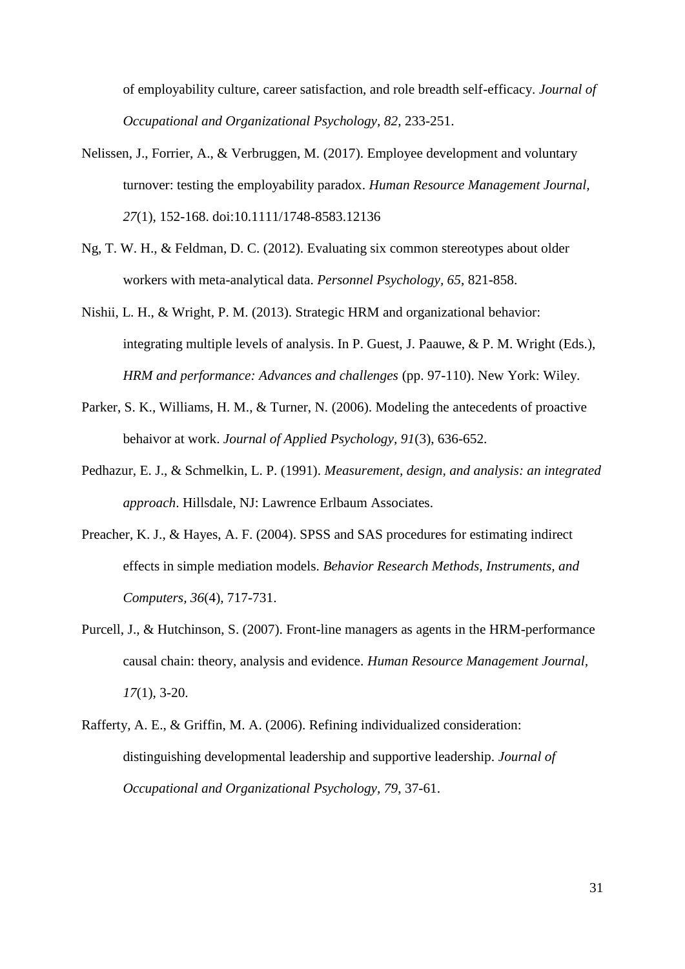of employability culture, career satisfaction, and role breadth self-efficacy. *Journal of Occupational and Organizational Psychology, 82*, 233-251.

- Nelissen, J., Forrier, A., & Verbruggen, M. (2017). Employee development and voluntary turnover: testing the employability paradox. *Human Resource Management Journal, 27*(1), 152-168. doi:10.1111/1748-8583.12136
- Ng, T. W. H., & Feldman, D. C. (2012). Evaluating six common stereotypes about older workers with meta-analytical data. *Personnel Psychology, 65*, 821-858.
- Nishii, L. H., & Wright, P. M. (2013). Strategic HRM and organizational behavior: integrating multiple levels of analysis. In P. Guest, J. Paauwe, & P. M. Wright (Eds.), *HRM and performance: Advances and challenges* (pp. 97-110). New York: Wiley.
- Parker, S. K., Williams, H. M., & Turner, N. (2006). Modeling the antecedents of proactive behaivor at work. *Journal of Applied Psychology, 91*(3), 636-652.
- Pedhazur, E. J., & Schmelkin, L. P. (1991). *Measurement, design, and analysis: an integrated approach*. Hillsdale, NJ: Lawrence Erlbaum Associates.
- Preacher, K. J., & Hayes, A. F. (2004). SPSS and SAS procedures for estimating indirect effects in simple mediation models. *Behavior Research Methods, Instruments, and Computers, 36*(4), 717-731.
- Purcell, J., & Hutchinson, S. (2007). Front-line managers as agents in the HRM-performance causal chain: theory, analysis and evidence. *Human Resource Management Journal, 17*(1), 3-20.
- Rafferty, A. E., & Griffin, M. A. (2006). Refining individualized consideration: distinguishing developmental leadership and supportive leadership. *Journal of Occupational and Organizational Psychology, 79*, 37-61.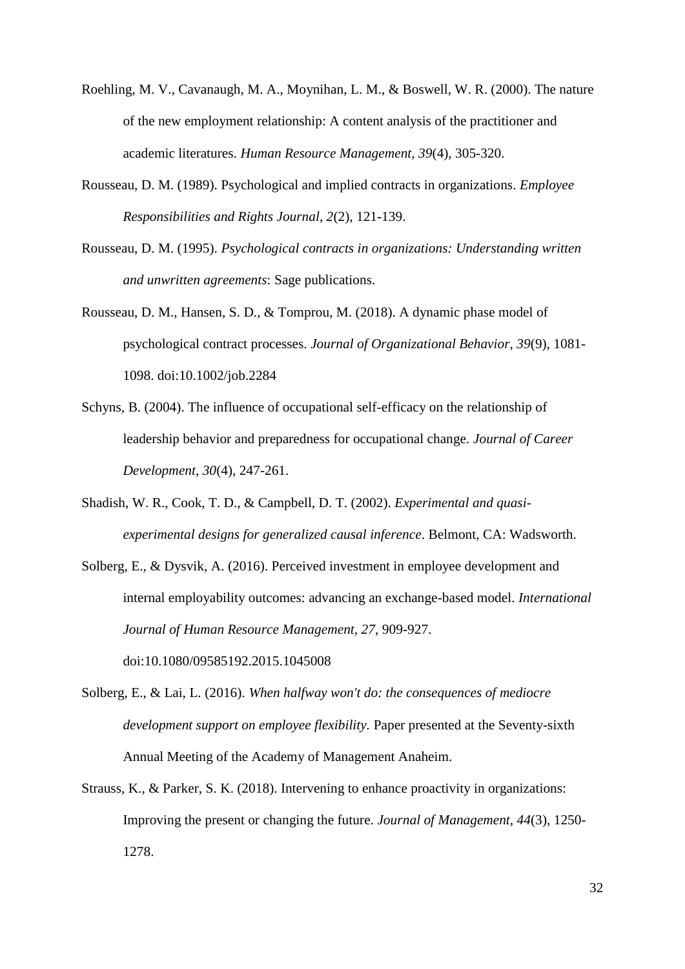- Roehling, M. V., Cavanaugh, M. A., Moynihan, L. M., & Boswell, W. R. (2000). The nature of the new employment relationship: A content analysis of the practitioner and academic literatures. *Human Resource Management, 39*(4), 305-320.
- Rousseau, D. M. (1989). Psychological and implied contracts in organizations. *Employee Responsibilities and Rights Journal, 2*(2), 121-139.
- Rousseau, D. M. (1995). *Psychological contracts in organizations: Understanding written and unwritten agreements*: Sage publications.
- Rousseau, D. M., Hansen, S. D., & Tomprou, M. (2018). A dynamic phase model of psychological contract processes. *Journal of Organizational Behavior, 39*(9), 1081- 1098. doi:10.1002/job.2284
- Schyns, B. (2004). The influence of occupational self-efficacy on the relationship of leadership behavior and preparedness for occupational change. *Journal of Career Development, 30*(4), 247-261.
- Shadish, W. R., Cook, T. D., & Campbell, D. T. (2002). *Experimental and quasiexperimental designs for generalized causal inference*. Belmont, CA: Wadsworth.
- Solberg, E., & Dysvik, A. (2016). Perceived investment in employee development and internal employability outcomes: advancing an exchange-based model. *International Journal of Human Resource Management, 27*, 909-927. doi:10.1080/09585192.2015.1045008
- Solberg, E., & Lai, L. (2016). *When halfway won't do: the consequences of mediocre development support on employee flexibility.* Paper presented at the Seventy-sixth Annual Meeting of the Academy of Management Anaheim.
- Strauss, K., & Parker, S. K. (2018). Intervening to enhance proactivity in organizations: Improving the present or changing the future. *Journal of Management, 44*(3), 1250- 1278.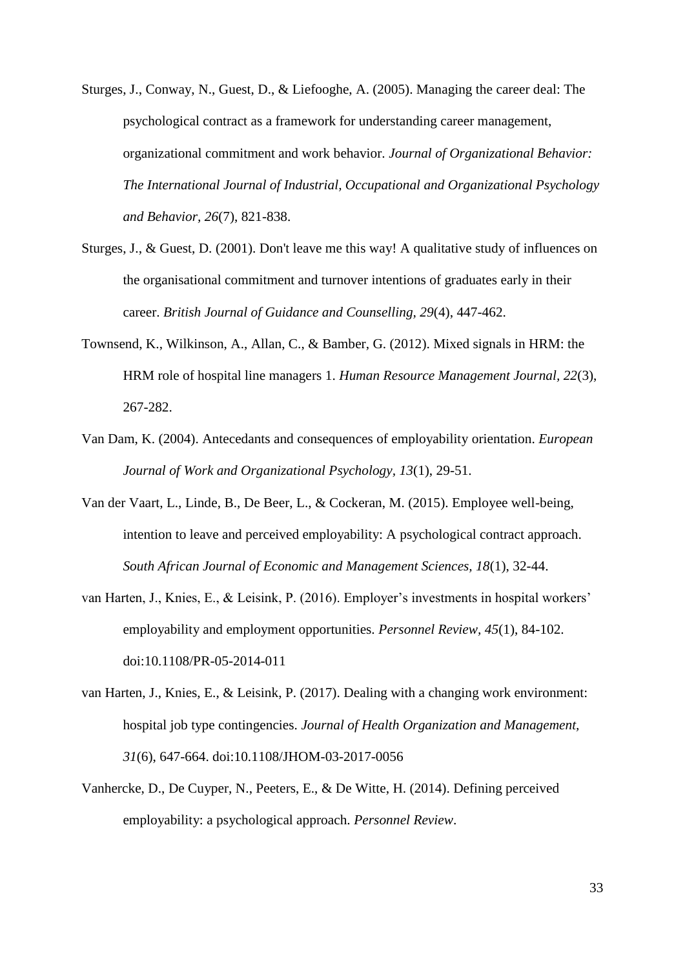- Sturges, J., Conway, N., Guest, D., & Liefooghe, A. (2005). Managing the career deal: The psychological contract as a framework for understanding career management, organizational commitment and work behavior. *Journal of Organizational Behavior: The International Journal of Industrial, Occupational and Organizational Psychology and Behavior, 26*(7), 821-838.
- Sturges, J., & Guest, D. (2001). Don't leave me this way! A qualitative study of influences on the organisational commitment and turnover intentions of graduates early in their career. *British Journal of Guidance and Counselling, 29*(4), 447-462.
- Townsend, K., Wilkinson, A., Allan, C., & Bamber, G. (2012). Mixed signals in HRM: the HRM role of hospital line managers 1. *Human Resource Management Journal, 22*(3), 267-282.
- Van Dam, K. (2004). Antecedants and consequences of employability orientation. *European Journal of Work and Organizational Psychology, 13*(1), 29-51.
- Van der Vaart, L., Linde, B., De Beer, L., & Cockeran, M. (2015). Employee well-being, intention to leave and perceived employability: A psychological contract approach. *South African Journal of Economic and Management Sciences, 18*(1), 32-44.
- van Harten, J., Knies, E., & Leisink, P. (2016). Employer's investments in hospital workers' employability and employment opportunities. *Personnel Review, 45*(1), 84-102. doi:10.1108/PR-05-2014-011
- van Harten, J., Knies, E., & Leisink, P. (2017). Dealing with a changing work environment: hospital job type contingencies. *Journal of Health Organization and Management, 31*(6), 647-664. doi:10.1108/JHOM-03-2017-0056
- Vanhercke, D., De Cuyper, N., Peeters, E., & De Witte, H. (2014). Defining perceived employability: a psychological approach. *Personnel Review*.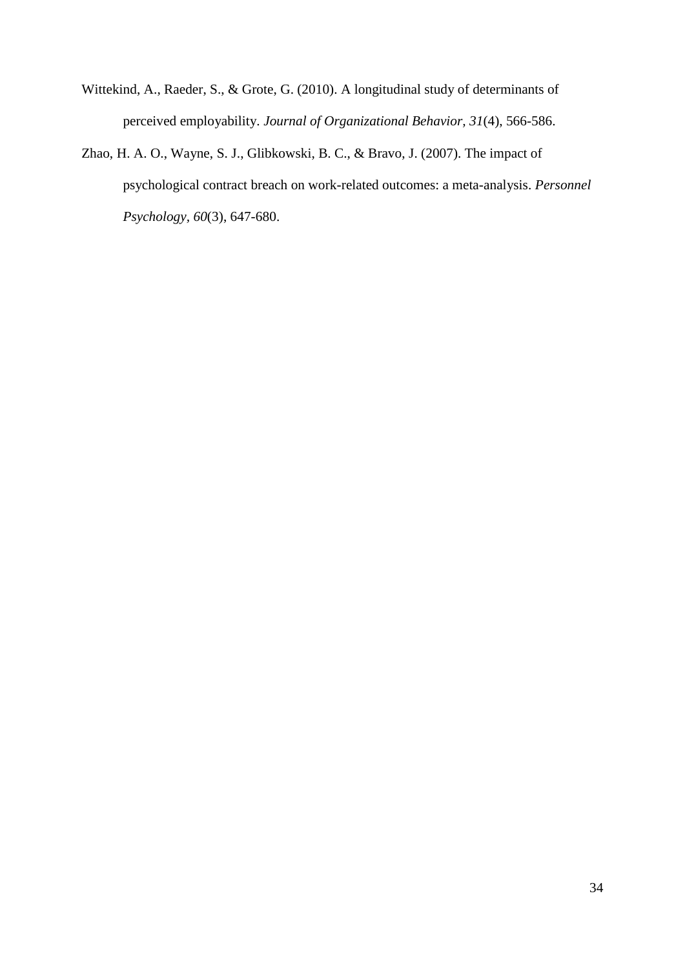- Wittekind, A., Raeder, S., & Grote, G. (2010). A longitudinal study of determinants of perceived employability. *Journal of Organizational Behavior, 31*(4), 566-586.
- Zhao, H. A. O., Wayne, S. J., Glibkowski, B. C., & Bravo, J. (2007). The impact of psychological contract breach on work-related outcomes: a meta-analysis. *Personnel Psychology, 60*(3), 647-680.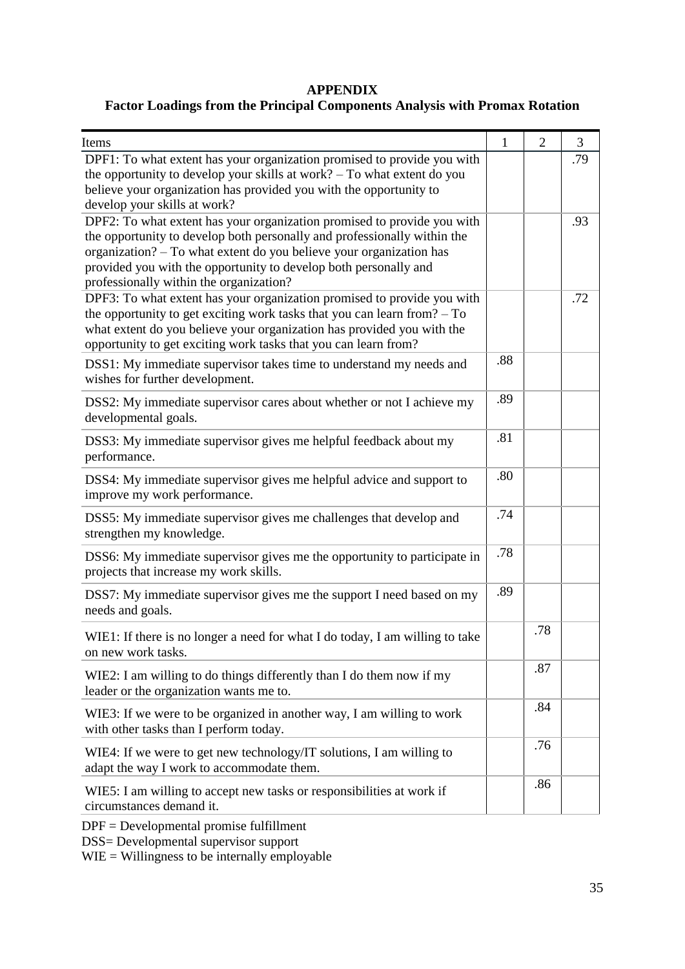# **APPENDIX**

# **Factor Loadings from the Principal Components Analysis with Promax Rotation**

| Items                                                                                                                                                                                                                                                                                                                                     | $\mathbf{1}$ | $\overline{2}$ | 3   |
|-------------------------------------------------------------------------------------------------------------------------------------------------------------------------------------------------------------------------------------------------------------------------------------------------------------------------------------------|--------------|----------------|-----|
| DPF1: To what extent has your organization promised to provide you with<br>the opportunity to develop your skills at work? – To what extent do you<br>believe your organization has provided you with the opportunity to<br>develop your skills at work?                                                                                  |              |                | .79 |
| DPF2: To what extent has your organization promised to provide you with<br>the opportunity to develop both personally and professionally within the<br>organization? - To what extent do you believe your organization has<br>provided you with the opportunity to develop both personally and<br>professionally within the organization? |              |                | .93 |
| DPF3: To what extent has your organization promised to provide you with<br>the opportunity to get exciting work tasks that you can learn from? $-$ To<br>what extent do you believe your organization has provided you with the<br>opportunity to get exciting work tasks that you can learn from?                                        |              |                | .72 |
| DSS1: My immediate supervisor takes time to understand my needs and<br>wishes for further development.                                                                                                                                                                                                                                    | .88          |                |     |
| DSS2: My immediate supervisor cares about whether or not I achieve my<br>developmental goals.                                                                                                                                                                                                                                             | .89          |                |     |
| DSS3: My immediate supervisor gives me helpful feedback about my<br>performance.                                                                                                                                                                                                                                                          | .81          |                |     |
| DSS4: My immediate supervisor gives me helpful advice and support to<br>improve my work performance.                                                                                                                                                                                                                                      | .80          |                |     |
| DSS5: My immediate supervisor gives me challenges that develop and<br>strengthen my knowledge.                                                                                                                                                                                                                                            | .74          |                |     |
| DSS6: My immediate supervisor gives me the opportunity to participate in<br>projects that increase my work skills.                                                                                                                                                                                                                        | .78          |                |     |
| DSS7: My immediate supervisor gives me the support I need based on my<br>needs and goals.                                                                                                                                                                                                                                                 | .89          |                |     |
| WIE1: If there is no longer a need for what I do today, I am willing to take<br>on new work tasks.                                                                                                                                                                                                                                        |              | .78            |     |
| WIE2: I am willing to do things differently than I do them now if my<br>leader or the organization wants me to.                                                                                                                                                                                                                           |              | .87            |     |
| WIE3: If we were to be organized in another way, I am willing to work<br>with other tasks than I perform today.                                                                                                                                                                                                                           |              | .84            |     |
| WIE4: If we were to get new technology/IT solutions, I am willing to<br>adapt the way I work to accommodate them.                                                                                                                                                                                                                         |              | .76            |     |
| WIE5: I am willing to accept new tasks or responsibilities at work if<br>circumstances demand it.                                                                                                                                                                                                                                         |              | .86            |     |
| $DPF = Development$ al promise fulfillment                                                                                                                                                                                                                                                                                                |              |                |     |

DSS= Developmental supervisor support

WIE = Willingness to be internally employable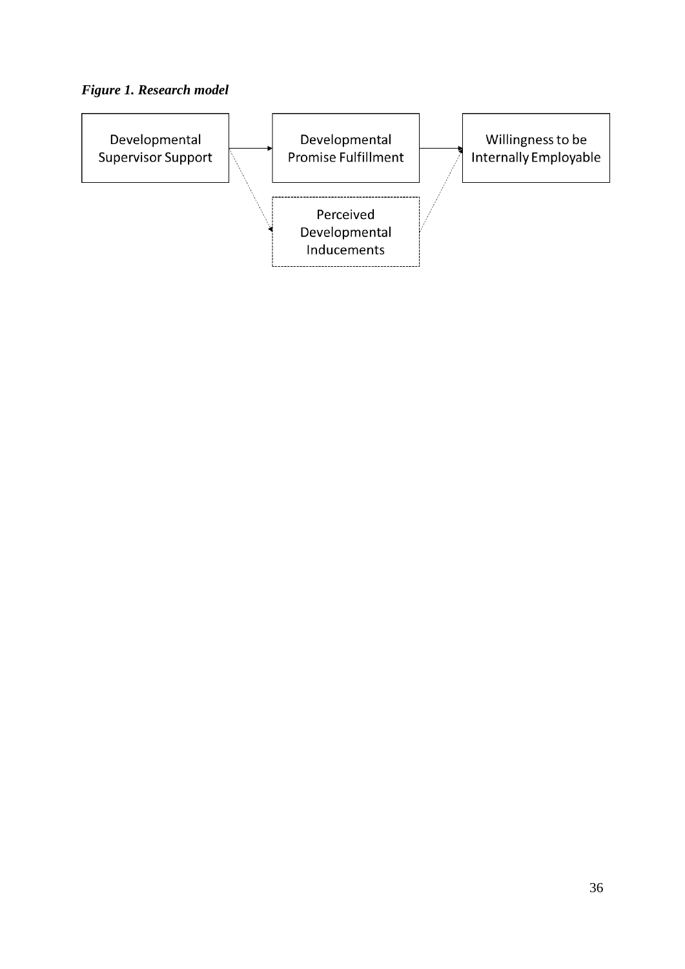